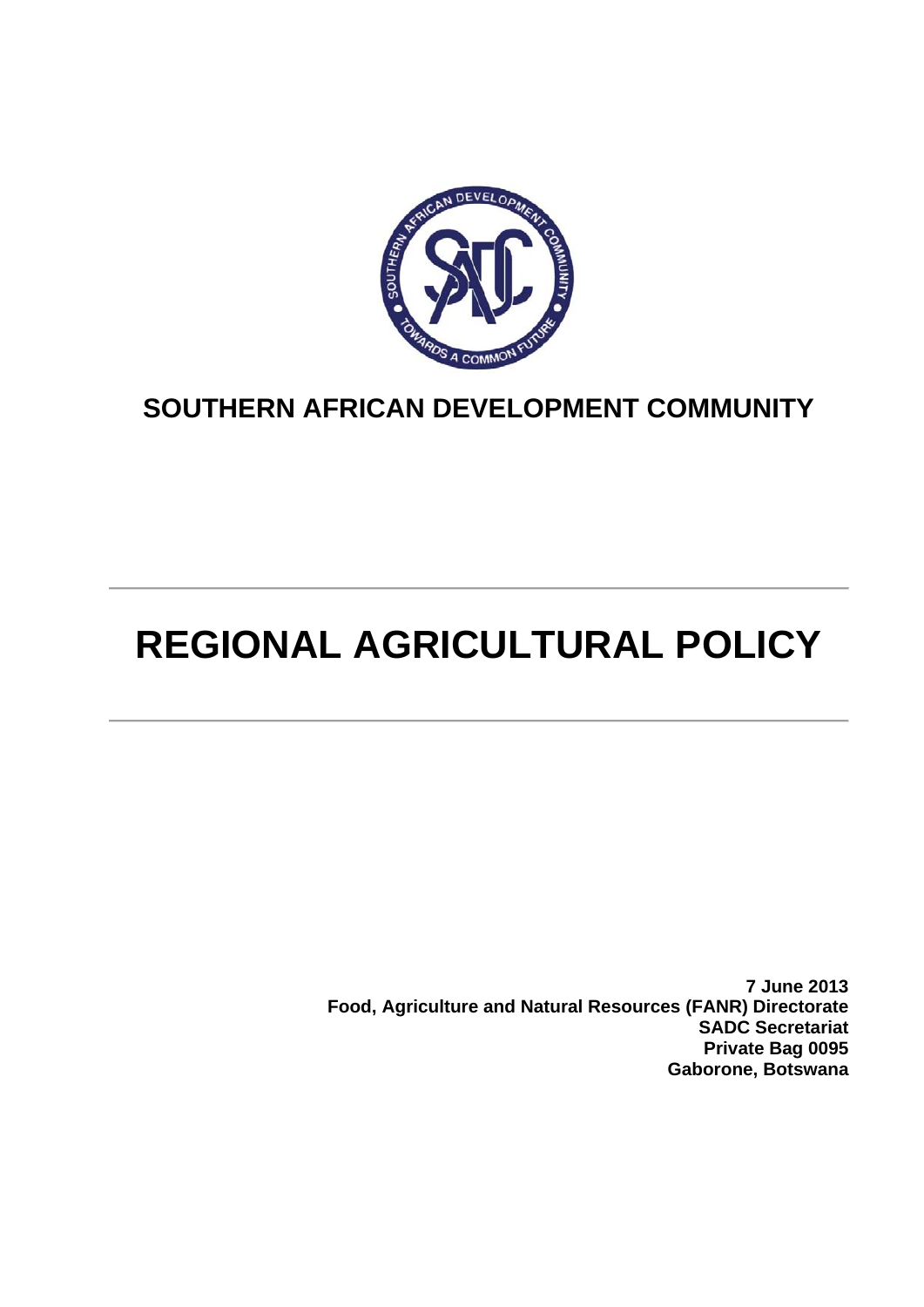

## **SOUTHERN AFRICAN DEVELOPMENT COMMUNITY**

# **REGIONAL AGRICULTURAL POLICY**

**7 June 2013 Food, Agriculture and Natural Resources (FANR) Directorate SADC Secretariat Private Bag 0095 Gaborone, Botswana**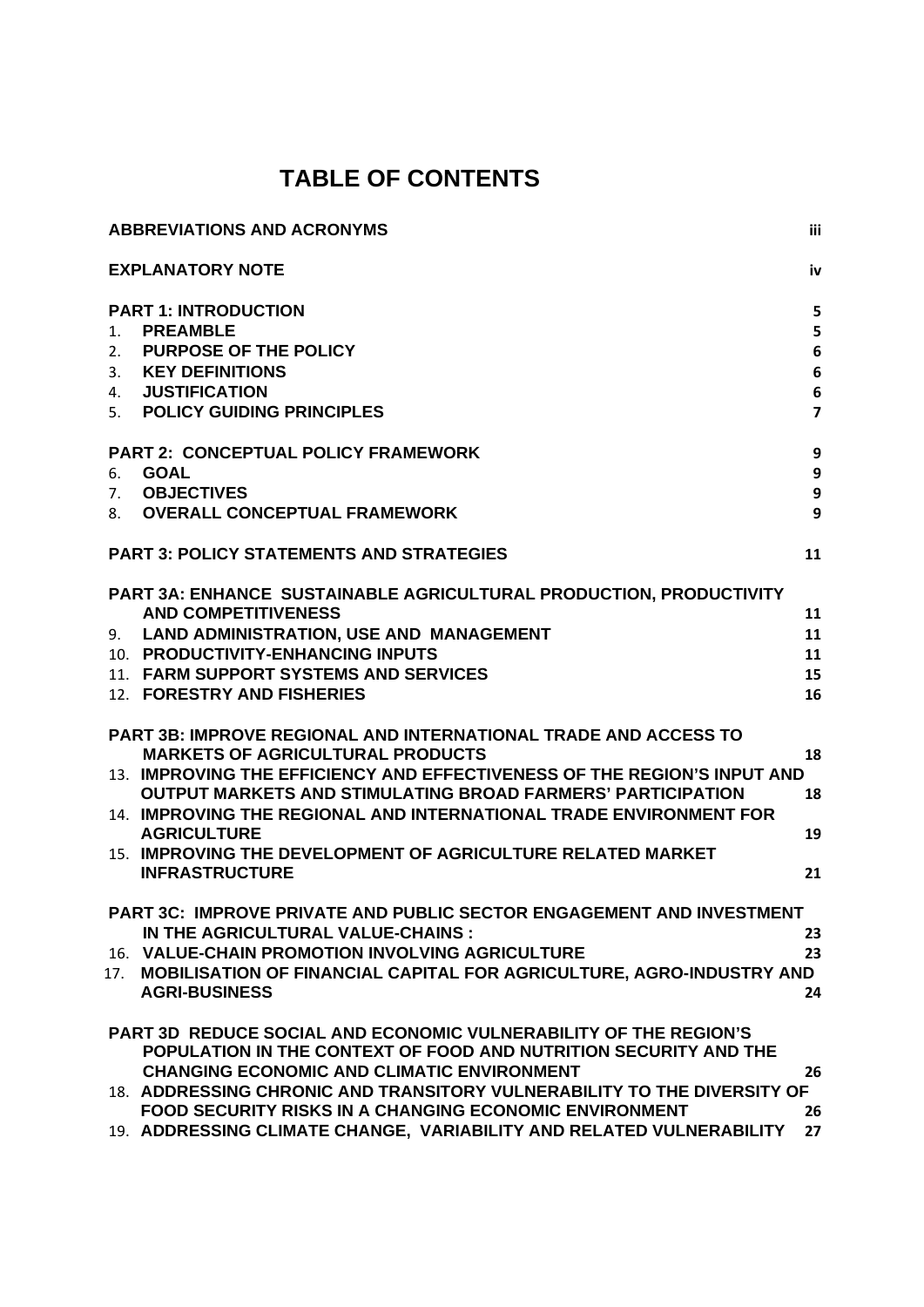## **TABLE OF CONTENTS**

| <b>ABBREVIATIONS AND ACRONYMS</b>                                                                                                                                                                                                                                                                                                                                                                                                                                                                                                                                                                                                                                                                                               | iii                                                            |
|---------------------------------------------------------------------------------------------------------------------------------------------------------------------------------------------------------------------------------------------------------------------------------------------------------------------------------------------------------------------------------------------------------------------------------------------------------------------------------------------------------------------------------------------------------------------------------------------------------------------------------------------------------------------------------------------------------------------------------|----------------------------------------------------------------|
| <b>EXPLANATORY NOTE</b>                                                                                                                                                                                                                                                                                                                                                                                                                                                                                                                                                                                                                                                                                                         | iv                                                             |
| <b>PART 1: INTRODUCTION</b><br><b>PREAMBLE</b><br>$1_{-}$<br><b>PURPOSE OF THE POLICY</b><br>2.<br><b>KEY DEFINITIONS</b><br>3.<br><b>JUSTIFICATION</b><br>4.                                                                                                                                                                                                                                                                                                                                                                                                                                                                                                                                                                   | 5<br>5<br>$6\phantom{1}$<br>$6\phantom{1}$<br>$\boldsymbol{6}$ |
| 5. POLICY GUIDING PRINCIPLES<br><b>PART 2: CONCEPTUAL POLICY FRAMEWORK</b><br><b>GOAL</b><br>6.<br><b>OBJECTIVES</b><br>7.<br><b>OVERALL CONCEPTUAL FRAMEWORK</b><br>8.                                                                                                                                                                                                                                                                                                                                                                                                                                                                                                                                                         | $\overline{\mathbf{z}}$<br>9<br>9<br>9<br>9                    |
| <b>PART 3: POLICY STATEMENTS AND STRATEGIES</b>                                                                                                                                                                                                                                                                                                                                                                                                                                                                                                                                                                                                                                                                                 | 11                                                             |
| PART 3A: ENHANCE SUSTAINABLE AGRICULTURAL PRODUCTION, PRODUCTIVITY<br><b>AND COMPETITIVENESS</b><br><b>LAND ADMINISTRATION, USE AND MANAGEMENT</b><br>9.<br>10. PRODUCTIVITY-ENHANCING INPUTS<br>11. FARM SUPPORT SYSTEMS AND SERVICES<br>12. FORESTRY AND FISHERIES<br><b>PART 3B: IMPROVE REGIONAL AND INTERNATIONAL TRADE AND ACCESS TO</b><br><b>MARKETS OF AGRICULTURAL PRODUCTS</b><br>13. IMPROVING THE EFFICIENCY AND EFFECTIVENESS OF THE REGION'S INPUT AND<br><b>OUTPUT MARKETS AND STIMULATING BROAD FARMERS' PARTICIPATION</b><br>14. IMPROVING THE REGIONAL AND INTERNATIONAL TRADE ENVIRONMENT FOR<br><b>AGRICULTURE</b><br>15. IMPROVING THE DEVELOPMENT OF AGRICULTURE RELATED MARKET<br><b>INFRASTRUCTURE</b> | 11<br>11<br>11<br>15<br>16<br>18<br>18<br>19<br>21             |
| <b>PART 3C: IMPROVE PRIVATE AND PUBLIC SECTOR ENGAGEMENT AND INVESTMENT</b><br>IN THE AGRICULTURAL VALUE-CHAINS :<br>16. VALUE-CHAIN PROMOTION INVOLVING AGRICULTURE<br>MOBILISATION OF FINANCIAL CAPITAL FOR AGRICULTURE, AGRO-INDUSTRY AND<br>17.<br><b>AGRI-BUSINESS</b>                                                                                                                                                                                                                                                                                                                                                                                                                                                     | 23<br>23<br>24                                                 |
| <b>PART 3D REDUCE SOCIAL AND ECONOMIC VULNERABILITY OF THE REGION'S</b><br>POPULATION IN THE CONTEXT OF FOOD AND NUTRITION SECURITY AND THE<br><b>CHANGING ECONOMIC AND CLIMATIC ENVIRONMENT</b><br>18. ADDRESSING CHRONIC AND TRANSITORY VULNERABILITY TO THE DIVERSITY OF<br><b>FOOD SECURITY RISKS IN A CHANGING ECONOMIC ENVIRONMENT</b><br>19. ADDRESSING CLIMATE CHANGE, VARIABILITY AND RELATED VULNERABILITY                                                                                                                                                                                                                                                                                                            | 26<br>26<br>27                                                 |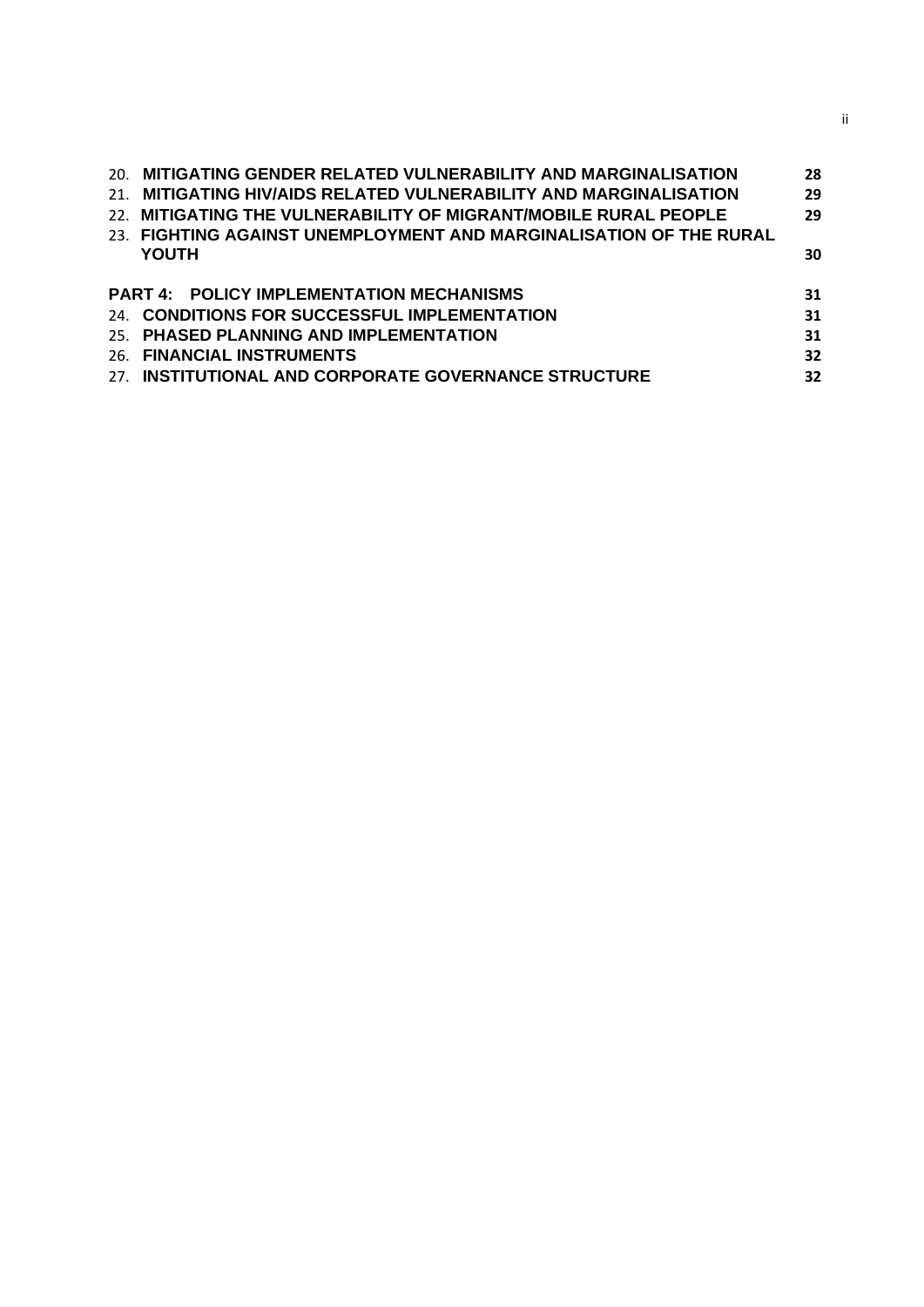|     | 20. MITIGATING GENDER RELATED VULNERABILITY AND MARGINALISATION    | 28 |
|-----|--------------------------------------------------------------------|----|
| 21. | MITIGATING HIV/AIDS RELATED VULNERABILITY AND MARGINALISATION      | 29 |
|     | 22. MITIGATING THE VULNERABILITY OF MIGRANT/MOBILE RURAL PEOPLE    | 29 |
|     | 23. FIGHTING AGAINST UNEMPLOYMENT AND MARGINALISATION OF THE RURAL |    |
|     | <b>YOUTH</b>                                                       | 30 |
|     |                                                                    |    |
|     | <b>PART 4: POLICY IMPLEMENTATION MECHANISMS</b>                    | 31 |
|     | 24. CONDITIONS FOR SUCCESSFUL IMPLEMENTATION                       | 31 |
|     | 25. PHASED PLANNING AND IMPLEMENTATION                             | 31 |
|     |                                                                    |    |
|     | 26. FINANCIAL INSTRUMENTS                                          | 32 |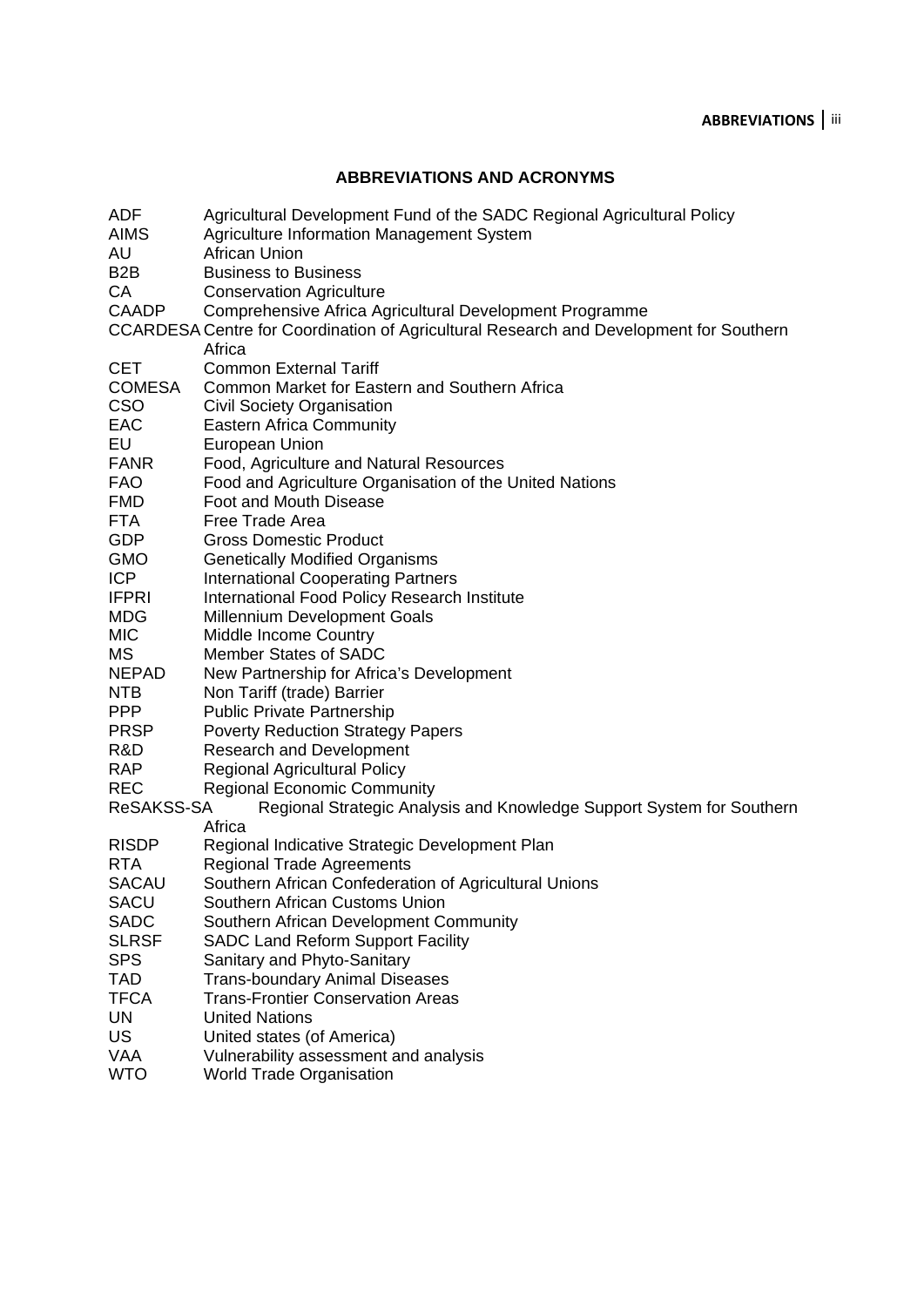#### **ABBREVIATIONS AND ACRONYMS**

ADF Agricultural Development Fund of the SADC Regional Agricultural Policy AIMS Agriculture Information Management System AU African Union B2B Business to Business CA Conservation Agriculture CAADP Comprehensive Africa Agricultural Development Programme CCARDESA Centre for Coordination of Agricultural Research and Development for Southern **Africa** CET Common External Tariff COMESA Common Market for Eastern and Southern Africa CSO Civil Society Organisation EAC Eastern Africa Community EU European Union FANR Food, Agriculture and Natural Resources FAO Food and Agriculture Organisation of the United Nations FMD Foot and Mouth Disease FTA Free Trade Area GDP Gross Domestic Product GMO Genetically Modified Organisms **ICP** International Cooperating Partners **IFPRI** International Food Policy Research Institute MDG Millennium Development Goals MIC Middle Income Country MS Member States of SADC NEPAD New Partnership for Africa's Development NTB Non Tariff (trade) Barrier PPP Public Private Partnership PRSP Poverty Reduction Strategy Papers R&D Research and Development RAP Regional Agricultural Policy REC Regional Economic Community ReSAKSS-SA Regional Strategic Analysis and Knowledge Support System for Southern **Africa** RISDP Regional Indicative Strategic Development Plan RTA Regional Trade Agreements SACAU Southern African Confederation of Agricultural Unions SACU Southern African Customs Union SADC Southern African Development Community SLRSF SADC Land Reform Support Facility SPS Sanitary and Phyto-Sanitary TAD Trans-boundary Animal Diseases TFCA Trans-Frontier Conservation Areas UN United Nations US United states (of America) VAA Vulnerability assessment and analysis WTO World Trade Organisation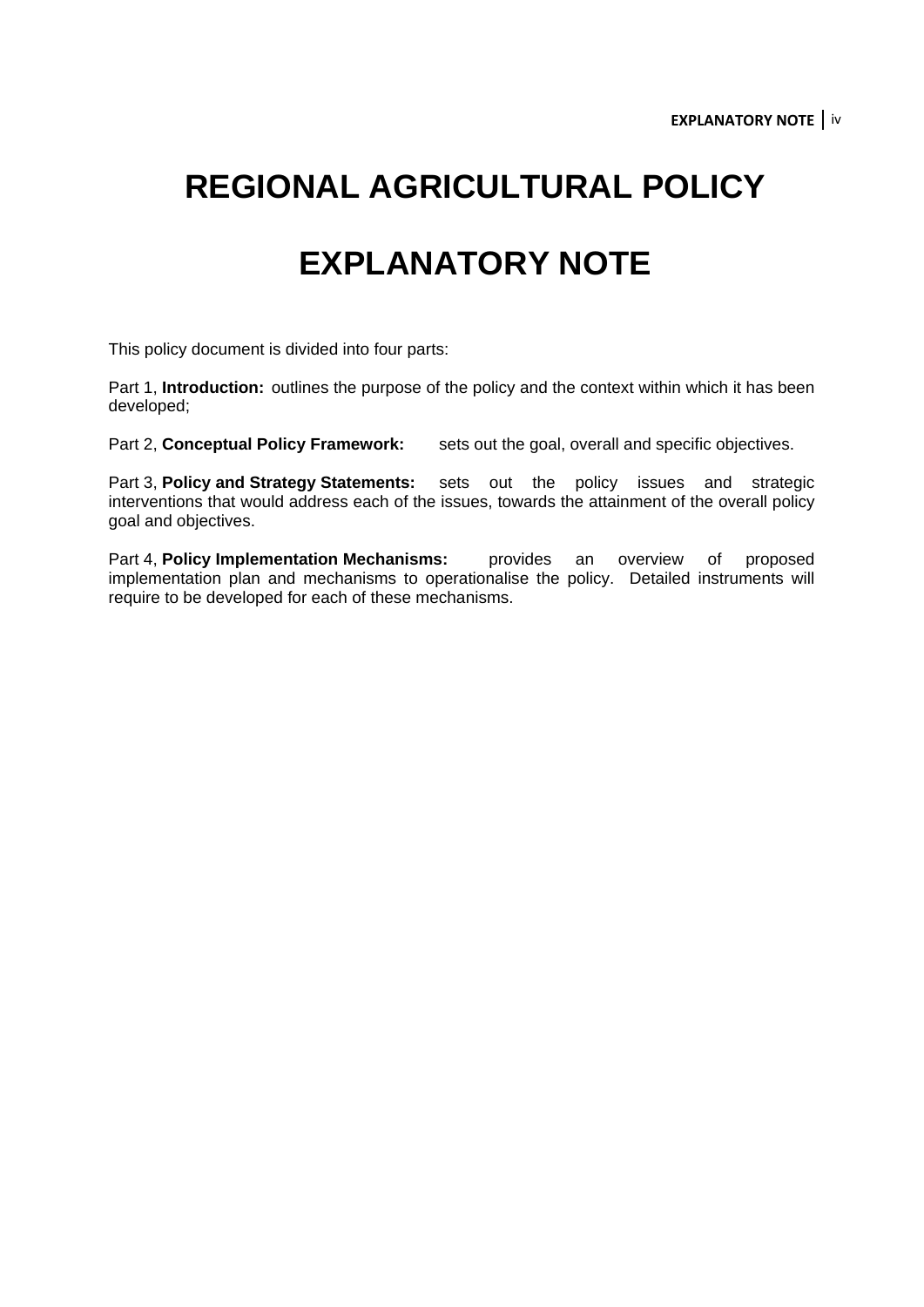## **REGIONAL AGRICULTURAL POLICY**

## **EXPLANATORY NOTE**

This policy document is divided into four parts:

Part 1, **Introduction:** outlines the purpose of the policy and the context within which it has been developed;

Part 2, **Conceptual Policy Framework:** sets out the goal, overall and specific objectives.

Part 3, **Policy and Strategy Statements:** sets out the policy issues and strategic interventions that would address each of the issues, towards the attainment of the overall policy goal and objectives.

Part 4, **Policy Implementation Mechanisms:** provides an overview of proposed implementation plan and mechanisms to operationalise the policy. Detailed instruments will require to be developed for each of these mechanisms.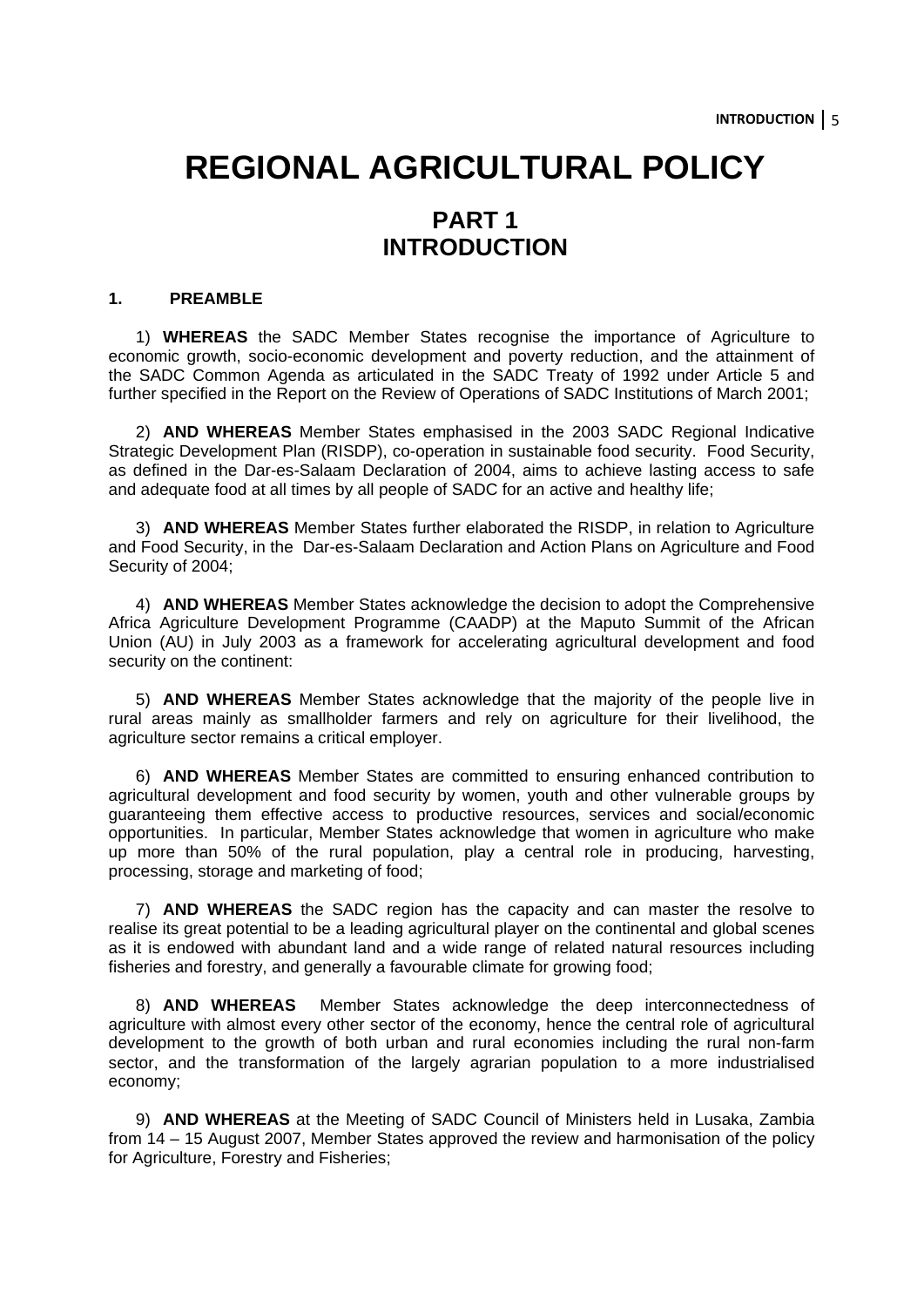## **REGIONAL AGRICULTURAL POLICY PART 1**

## **INTRODUCTION**

#### **1. PREAMBLE**

1) **WHEREAS** the SADC Member States recognise the importance of Agriculture to economic growth, socio-economic development and poverty reduction, and the attainment of the SADC Common Agenda as articulated in the SADC Treaty of 1992 under Article 5 and further specified in the Report on the Review of Operations of SADC Institutions of March 2001;

2) **AND WHEREAS** Member States emphasised in the 2003 SADC Regional Indicative Strategic Development Plan (RISDP), co-operation in sustainable food security. Food Security, as defined in the Dar-es-Salaam Declaration of 2004, aims to achieve lasting access to safe and adequate food at all times by all people of SADC for an active and healthy life;

3) **AND WHEREAS** Member States further elaborated the RISDP, in relation to Agriculture and Food Security, in the Dar-es-Salaam Declaration and Action Plans on Agriculture and Food Security of 2004;

4) **AND WHEREAS** Member States acknowledge the decision to adopt the Comprehensive Africa Agriculture Development Programme (CAADP) at the Maputo Summit of the African Union (AU) in July 2003 as a framework for accelerating agricultural development and food security on the continent:

5) **AND WHEREAS** Member States acknowledge that the majority of the people live in rural areas mainly as smallholder farmers and rely on agriculture for their livelihood, the agriculture sector remains a critical employer.

6) **AND WHEREAS** Member States are committed to ensuring enhanced contribution to agricultural development and food security by women, youth and other vulnerable groups by guaranteeing them effective access to productive resources, services and social/economic opportunities. In particular, Member States acknowledge that women in agriculture who make up more than 50% of the rural population, play a central role in producing, harvesting, processing, storage and marketing of food;

7) **AND WHEREAS** the SADC region has the capacity and can master the resolve to realise its great potential to be a leading agricultural player on the continental and global scenes as it is endowed with abundant land and a wide range of related natural resources including fisheries and forestry, and generally a favourable climate for growing food;

8) **AND WHEREAS** Member States acknowledge the deep interconnectedness of agriculture with almost every other sector of the economy, hence the central role of agricultural development to the growth of both urban and rural economies including the rural non-farm sector, and the transformation of the largely agrarian population to a more industrialised economy;

9) **AND WHEREAS** at the Meeting of SADC Council of Ministers held in Lusaka, Zambia from 14 – 15 August 2007, Member States approved the review and harmonisation of the policy for Agriculture, Forestry and Fisheries;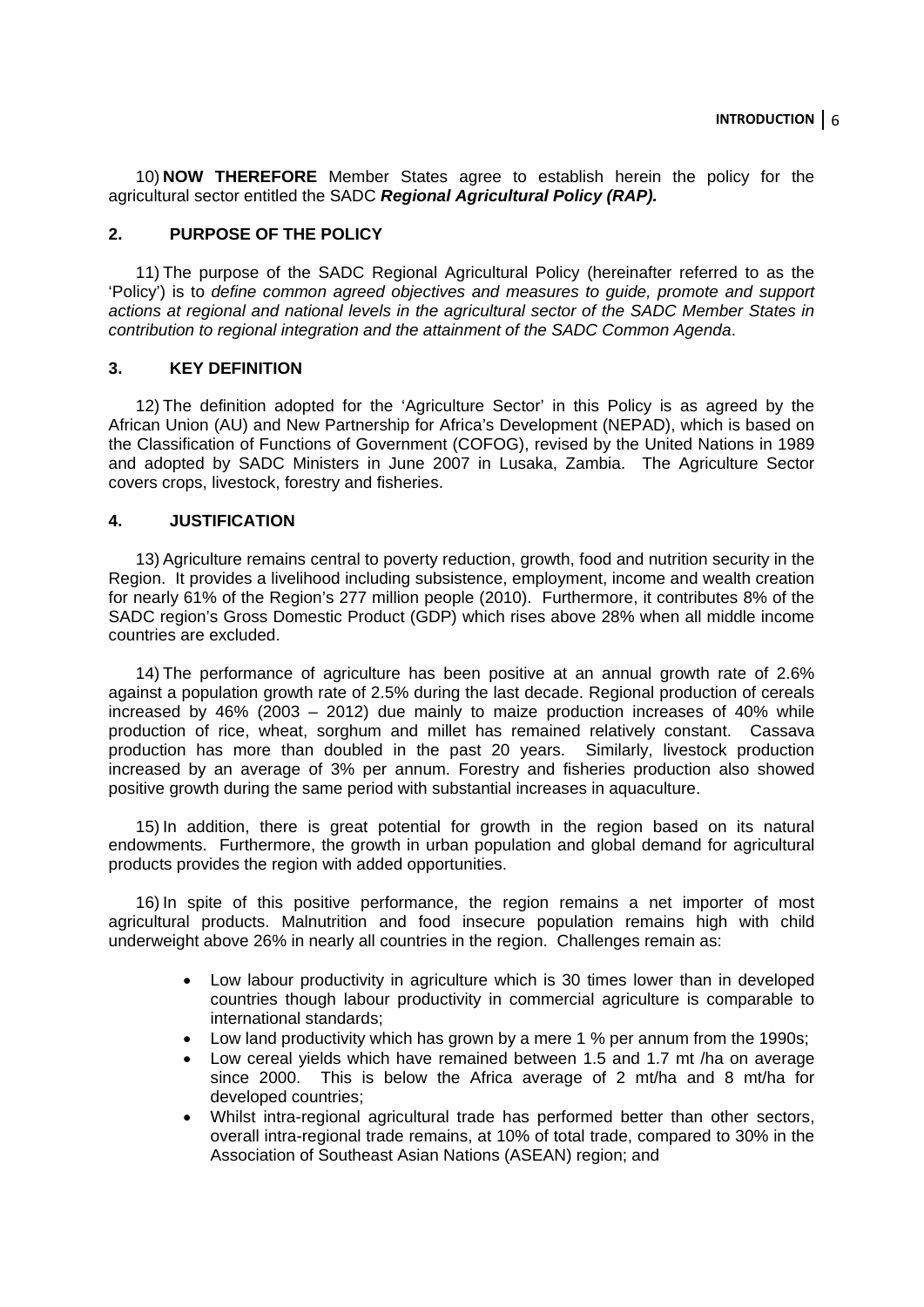10) **NOW THEREFORE** Member States agree to establish herein the policy for the agricultural sector entitled the SADC *Regional Agricultural Policy (RAP).* 

#### **2. PURPOSE OF THE POLICY**

11) The purpose of the SADC Regional Agricultural Policy (hereinafter referred to as the 'Policy') is to *define common agreed objectives and measures to guide, promote and support actions at regional and national levels in the agricultural sector of the SADC Member States in contribution to regional integration and the attainment of the SADC Common Agenda*.

#### **3. KEY DEFINITION**

12) The definition adopted for the 'Agriculture Sector' in this Policy is as agreed by the African Union (AU) and New Partnership for Africa's Development (NEPAD), which is based on the Classification of Functions of Government (COFOG), revised by the United Nations in 1989 and adopted by SADC Ministers in June 2007 in Lusaka, Zambia. The Agriculture Sector covers crops, livestock, forestry and fisheries.

#### **4. JUSTIFICATION**

13) Agriculture remains central to poverty reduction, growth, food and nutrition security in the Region. It provides a livelihood including subsistence, employment, income and wealth creation for nearly 61% of the Region's 277 million people (2010). Furthermore, it contributes 8% of the SADC region's Gross Domestic Product (GDP) which rises above 28% when all middle income countries are excluded.

14) The performance of agriculture has been positive at an annual growth rate of 2.6% against a population growth rate of 2.5% during the last decade. Regional production of cereals increased by 46% (2003 – 2012) due mainly to maize production increases of 40% while production of rice, wheat, sorghum and millet has remained relatively constant. Cassava production has more than doubled in the past 20 years. Similarly, livestock production increased by an average of 3% per annum. Forestry and fisheries production also showed positive growth during the same period with substantial increases in aquaculture.

15) In addition, there is great potential for growth in the region based on its natural endowments. Furthermore, the growth in urban population and global demand for agricultural products provides the region with added opportunities.

16) In spite of this positive performance, the region remains a net importer of most agricultural products. Malnutrition and food insecure population remains high with child underweight above 26% in nearly all countries in the region. Challenges remain as:

- Low labour productivity in agriculture which is 30 times lower than in developed countries though labour productivity in commercial agriculture is comparable to international standards;
- Low land productivity which has grown by a mere 1 % per annum from the 1990s;
- Low cereal yields which have remained between 1.5 and 1.7 mt /ha on average since 2000. This is below the Africa average of 2 mt/ha and 8 mt/ha for developed countries;
- Whilst intra-regional agricultural trade has performed better than other sectors, overall intra-regional trade remains, at 10% of total trade, compared to 30% in the Association of Southeast Asian Nations (ASEAN) region; and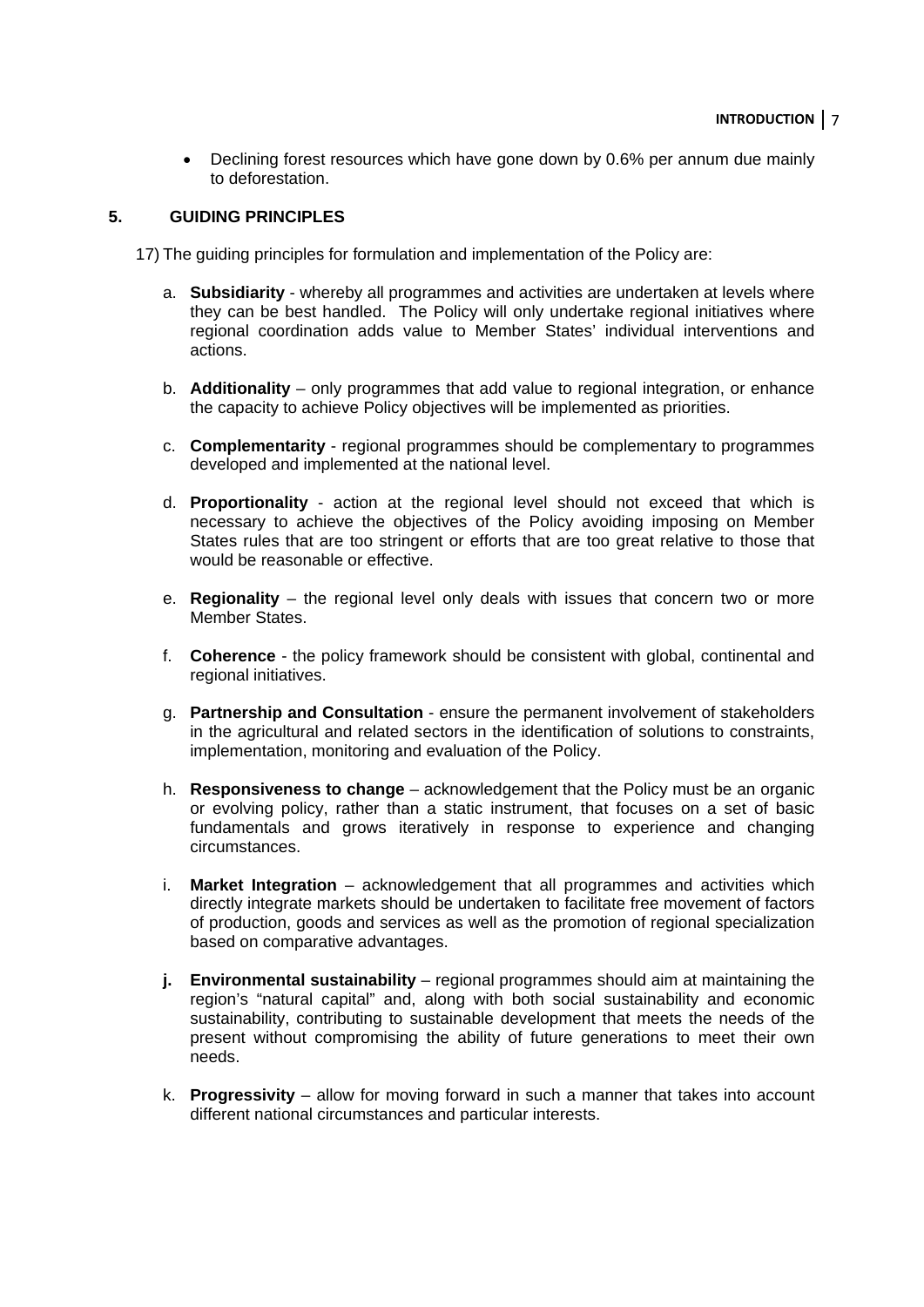• Declining forest resources which have gone down by 0.6% per annum due mainly to deforestation.

#### **5. GUIDING PRINCIPLES**

17) The guiding principles for formulation and implementation of the Policy are:

- a. **Subsidiarity** whereby all programmes and activities are undertaken at levels where they can be best handled. The Policy will only undertake regional initiatives where regional coordination adds value to Member States' individual interventions and actions.
- b. **Additionality** only programmes that add value to regional integration, or enhance the capacity to achieve Policy objectives will be implemented as priorities.
- c. **Complementarity**  regional programmes should be complementary to programmes developed and implemented at the national level.
- d. **Proportionality** action at the regional level should not exceed that which is necessary to achieve the objectives of the Policy avoiding imposing on Member States rules that are too stringent or efforts that are too great relative to those that would be reasonable or effective.
- e. **Regionality** the regional level only deals with issues that concern two or more Member States.
- f. **Coherence**  the policy framework should be consistent with global, continental and regional initiatives.
- g. **Partnership and Consultation**  ensure the permanent involvement of stakeholders in the agricultural and related sectors in the identification of solutions to constraints, implementation, monitoring and evaluation of the Policy.
- h. **Responsiveness to change** acknowledgement that the Policy must be an organic or evolving policy, rather than a static instrument, that focuses on a set of basic fundamentals and grows iteratively in response to experience and changing circumstances.
- i. **Market Integration** acknowledgement that all programmes and activities which directly integrate markets should be undertaken to facilitate free movement of factors of production, goods and services as well as the promotion of regional specialization based on comparative advantages.
- **j.** Environmental sustainability regional programmes should aim at maintaining the region's "natural capital" and, along with both social sustainability and economic sustainability, contributing to sustainable development that meets the needs of the present without compromising the ability of future generations to meet their own needs.
- k. **Progressivity** allow for moving forward in such a manner that takes into account different national circumstances and particular interests.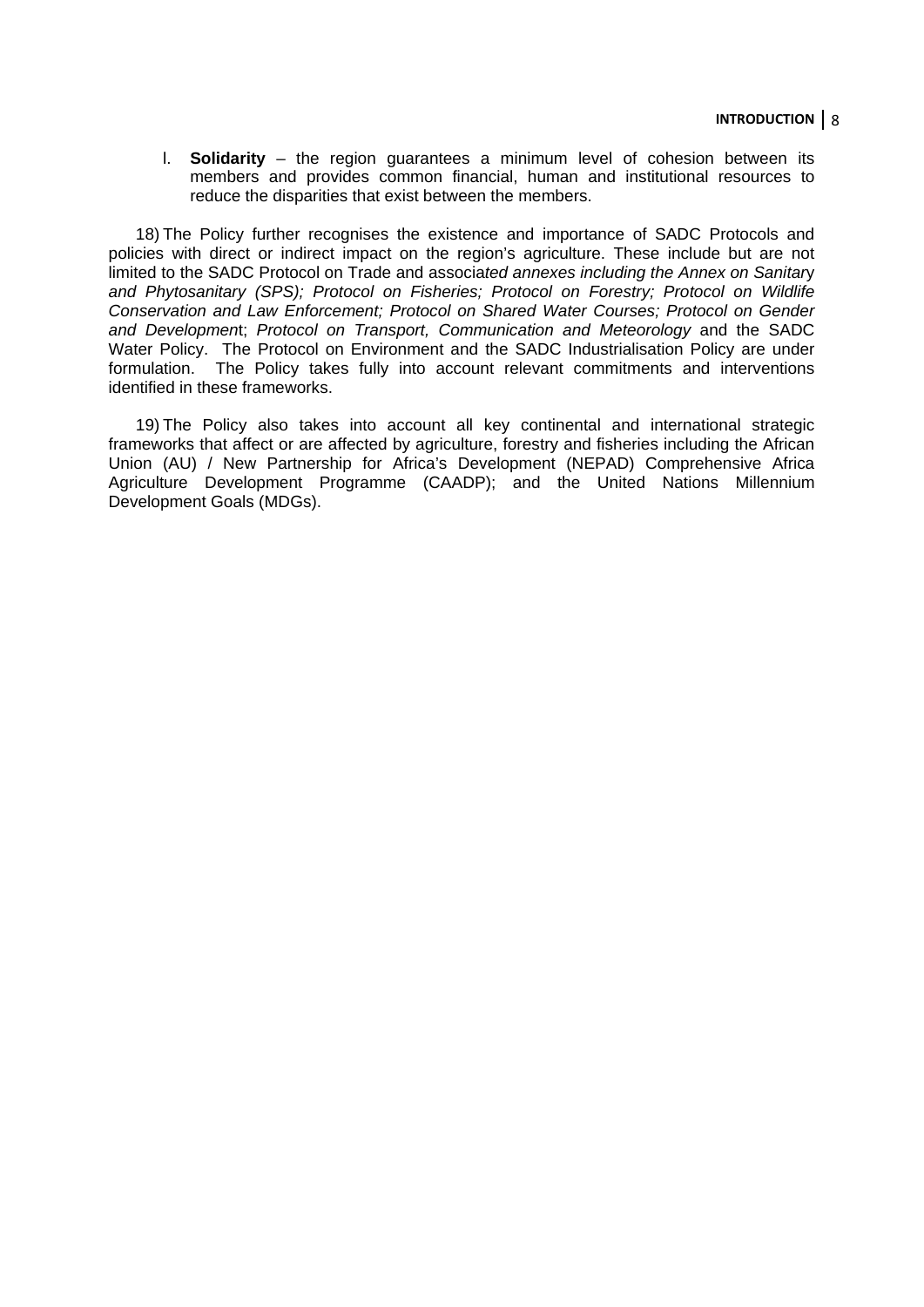l. **Solidarity** – the region guarantees a minimum level of cohesion between its members and provides common financial, human and institutional resources to reduce the disparities that exist between the members.

18) The Policy further recognises the existence and importance of SADC Protocols and policies with direct or indirect impact on the region's agriculture. These include but are not limited to the SADC Protocol on Trade and associa*ted annexes including the Annex on Sanitar*y *and Phytosanitary (SPS); Protocol on Fisheries; Protocol on Forestry; Protocol on Wildlife Conservation and Law Enforcement; Protocol on Shared Water Courses; Protocol on Gender and Developmen*t; *Protocol on Transport, Communication and Meteorology* and the SADC Water Policy. The Protocol on Environment and the SADC Industrialisation Policy are under formulation. The Policy takes fully into account relevant commitments and interventions identified in these frameworks.

19) The Policy also takes into account all key continental and international strategic frameworks that affect or are affected by agriculture, forestry and fisheries including the African Union (AU) / New Partnership for Africa's Development (NEPAD) Comprehensive Africa Agriculture Development Programme (CAADP); and the United Nations Millennium Development Goals (MDGs).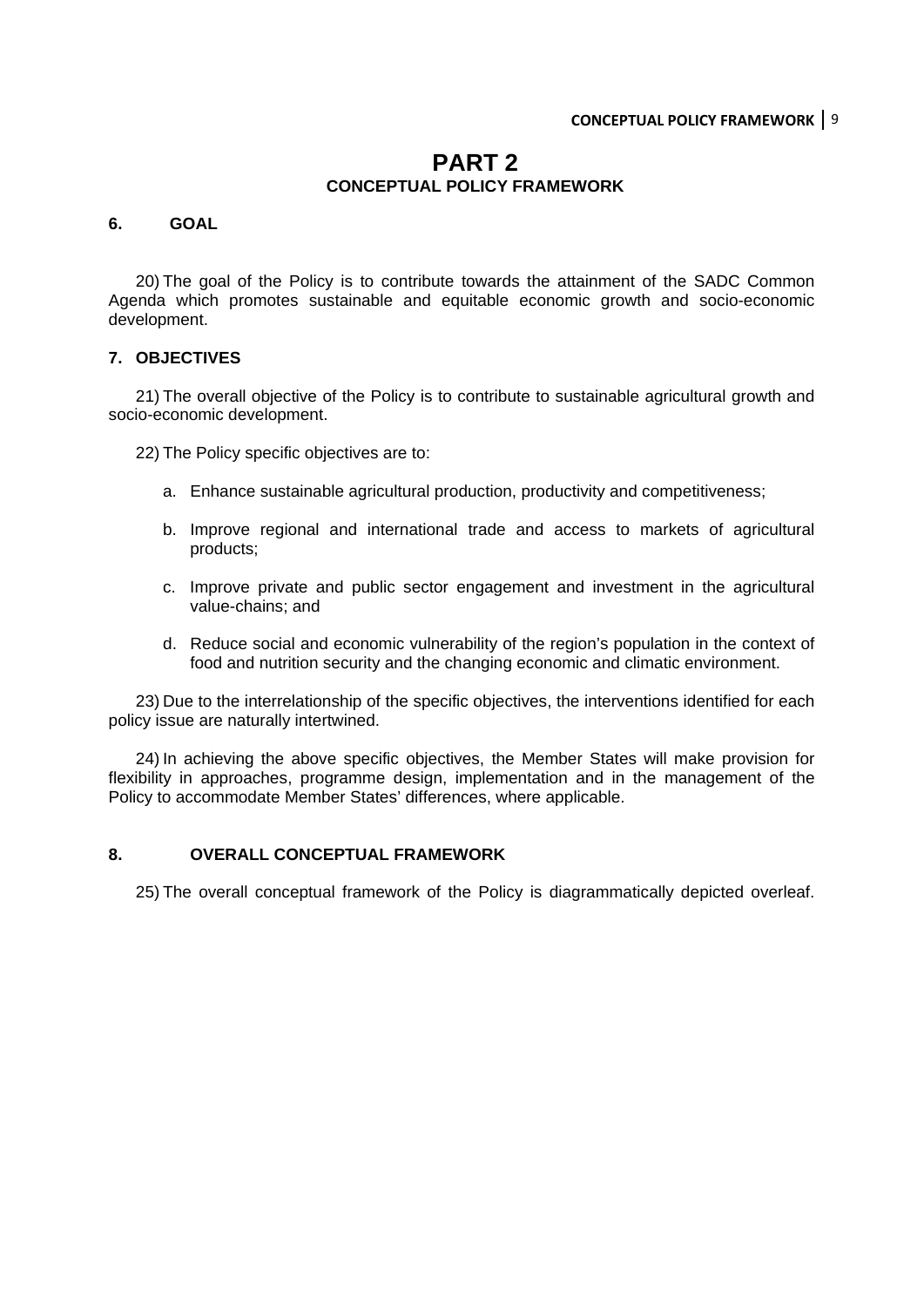#### **PART 2 CONCEPTUAL POLICY FRAMEWORK**

#### **6. GOAL**

20) The goal of the Policy is to contribute towards the attainment of the SADC Common Agenda which promotes sustainable and equitable economic growth and socio-economic development.

#### **7. OBJECTIVES**

21) The overall objective of the Policy is to contribute to sustainable agricultural growth and socio-economic development.

22) The Policy specific objectives are to:

- a. Enhance sustainable agricultural production, productivity and competitiveness;
- b. Improve regional and international trade and access to markets of agricultural products;
- c. Improve private and public sector engagement and investment in the agricultural value-chains; and
- d. Reduce social and economic vulnerability of the region's population in the context of food and nutrition security and the changing economic and climatic environment.

23) Due to the interrelationship of the specific objectives, the interventions identified for each policy issue are naturally intertwined.

24) In achieving the above specific objectives, the Member States will make provision for flexibility in approaches, programme design, implementation and in the management of the Policy to accommodate Member States' differences, where applicable.

#### **8. OVERALL CONCEPTUAL FRAMEWORK**

25) The overall conceptual framework of the Policy is diagrammatically depicted overleaf.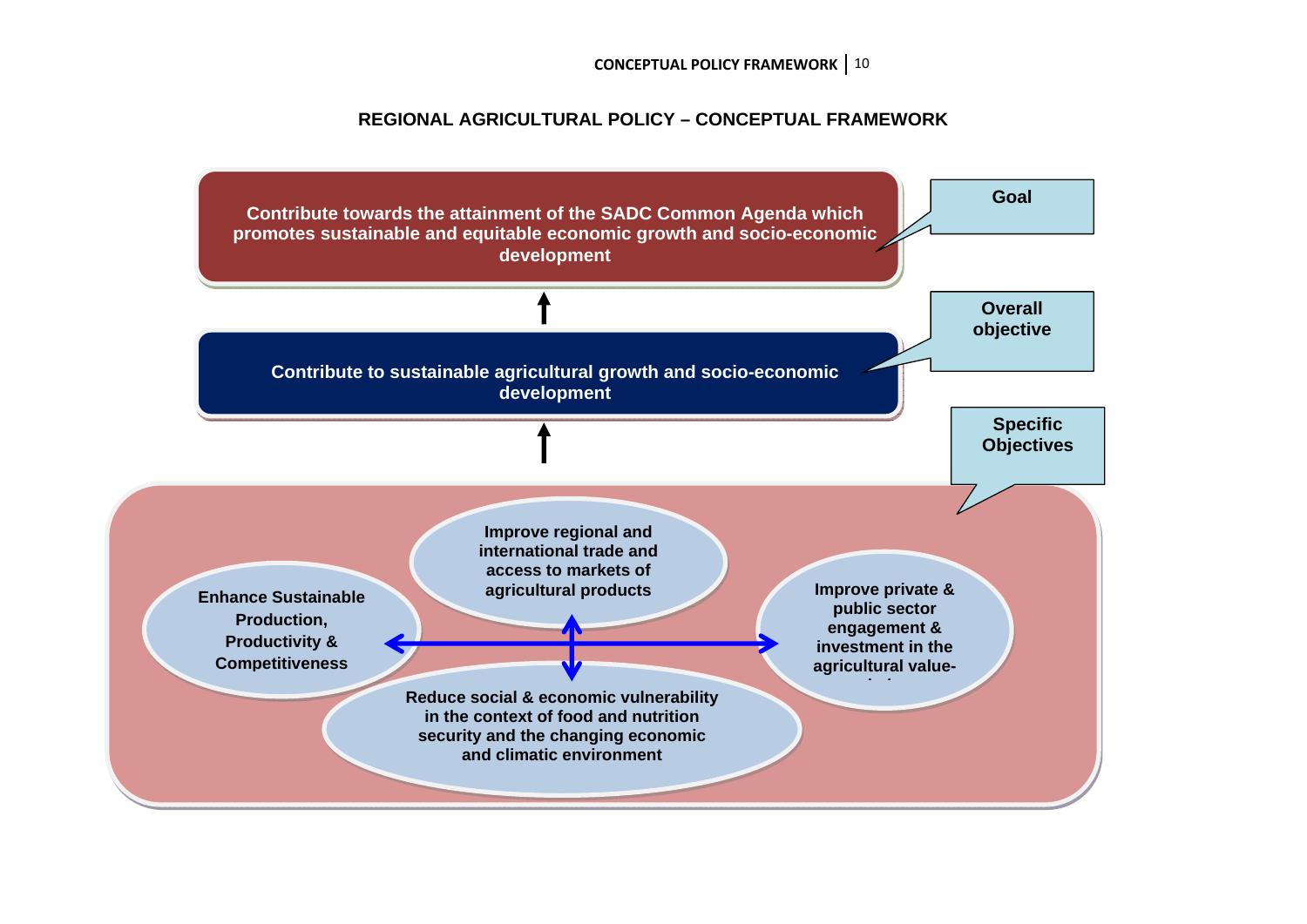**CONCEPTUAL POLICY FRAMEWORK** 10

#### **REGIONAL AGRICULTURAL POLICY – CONCEPTUAL FRAMEWORK**

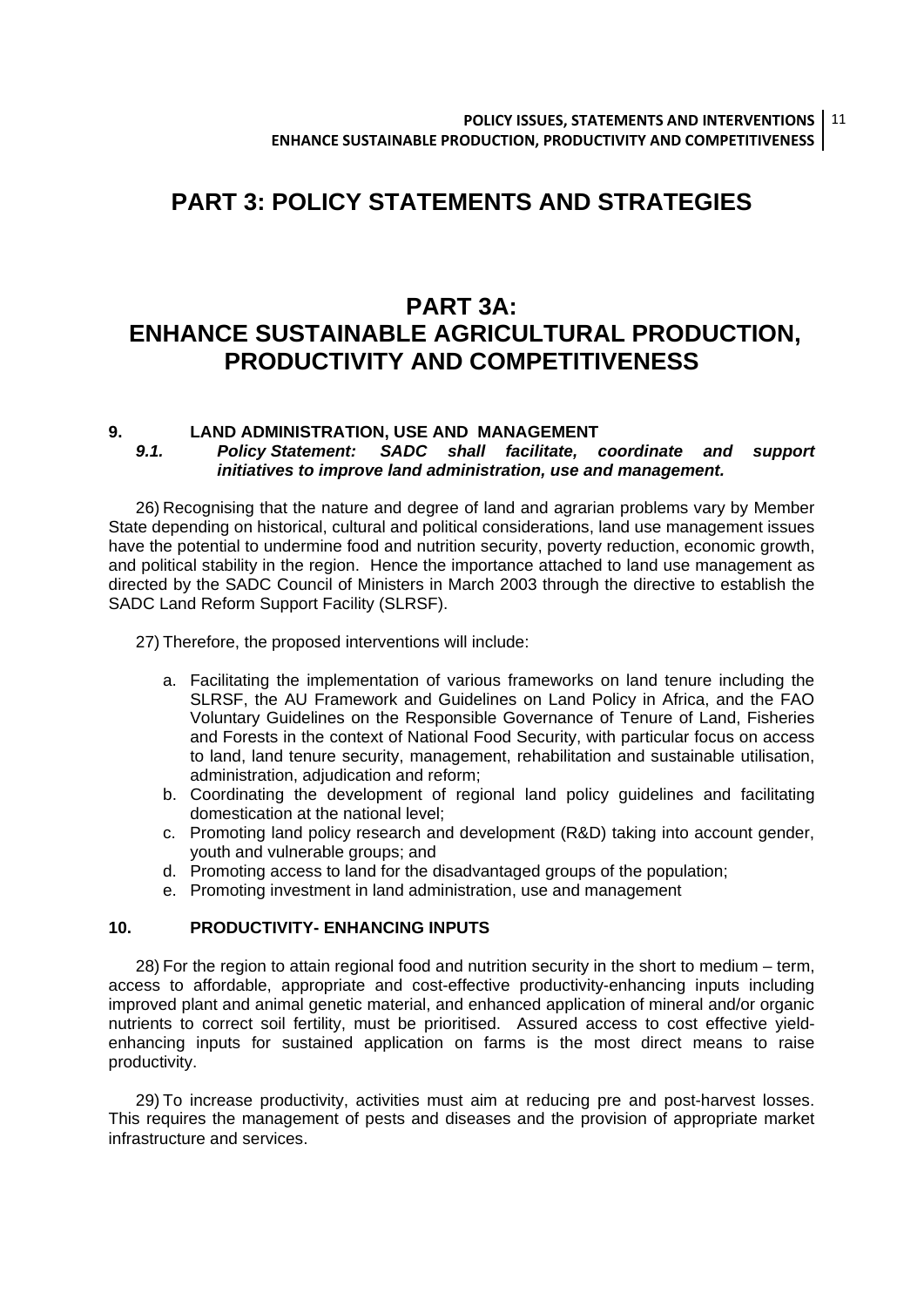### **PART 3: POLICY STATEMENTS AND STRATEGIES**

### **PART 3A: ENHANCE SUSTAINABLE AGRICULTURAL PRODUCTION, PRODUCTIVITY AND COMPETITIVENESS**

## **9. LAND ADMINISTRATION, USE AND MANAGEMENT**

*9.1. Policy Statement: SADC shall facilitate, coordinate and support initiatives to improve land administration, use and management.* 

26) Recognising that the nature and degree of land and agrarian problems vary by Member State depending on historical, cultural and political considerations, land use management issues have the potential to undermine food and nutrition security, poverty reduction, economic growth, and political stability in the region. Hence the importance attached to land use management as directed by the SADC Council of Ministers in March 2003 through the directive to establish the SADC Land Reform Support Facility (SLRSF).

27) Therefore, the proposed interventions will include:

- a. Facilitating the implementation of various frameworks on land tenure including the SLRSF, the AU Framework and Guidelines on Land Policy in Africa, and the FAO Voluntary Guidelines on the Responsible Governance of Tenure of Land, Fisheries and Forests in the context of National Food Security, with particular focus on access to land, land tenure security, management, rehabilitation and sustainable utilisation, administration, adjudication and reform;
- b. Coordinating the development of regional land policy guidelines and facilitating domestication at the national level;
- c. Promoting land policy research and development (R&D) taking into account gender, youth and vulnerable groups; and
- d. Promoting access to land for the disadvantaged groups of the population;
- e. Promoting investment in land administration, use and management

#### **10. PRODUCTIVITY- ENHANCING INPUTS**

28) For the region to attain regional food and nutrition security in the short to medium – term, access to affordable, appropriate and cost-effective productivity-enhancing inputs including improved plant and animal genetic material, and enhanced application of mineral and/or organic nutrients to correct soil fertility, must be prioritised. Assured access to cost effective yieldenhancing inputs for sustained application on farms is the most direct means to raise productivity.

29) To increase productivity, activities must aim at reducing pre and post-harvest losses. This requires the management of pests and diseases and the provision of appropriate market infrastructure and services.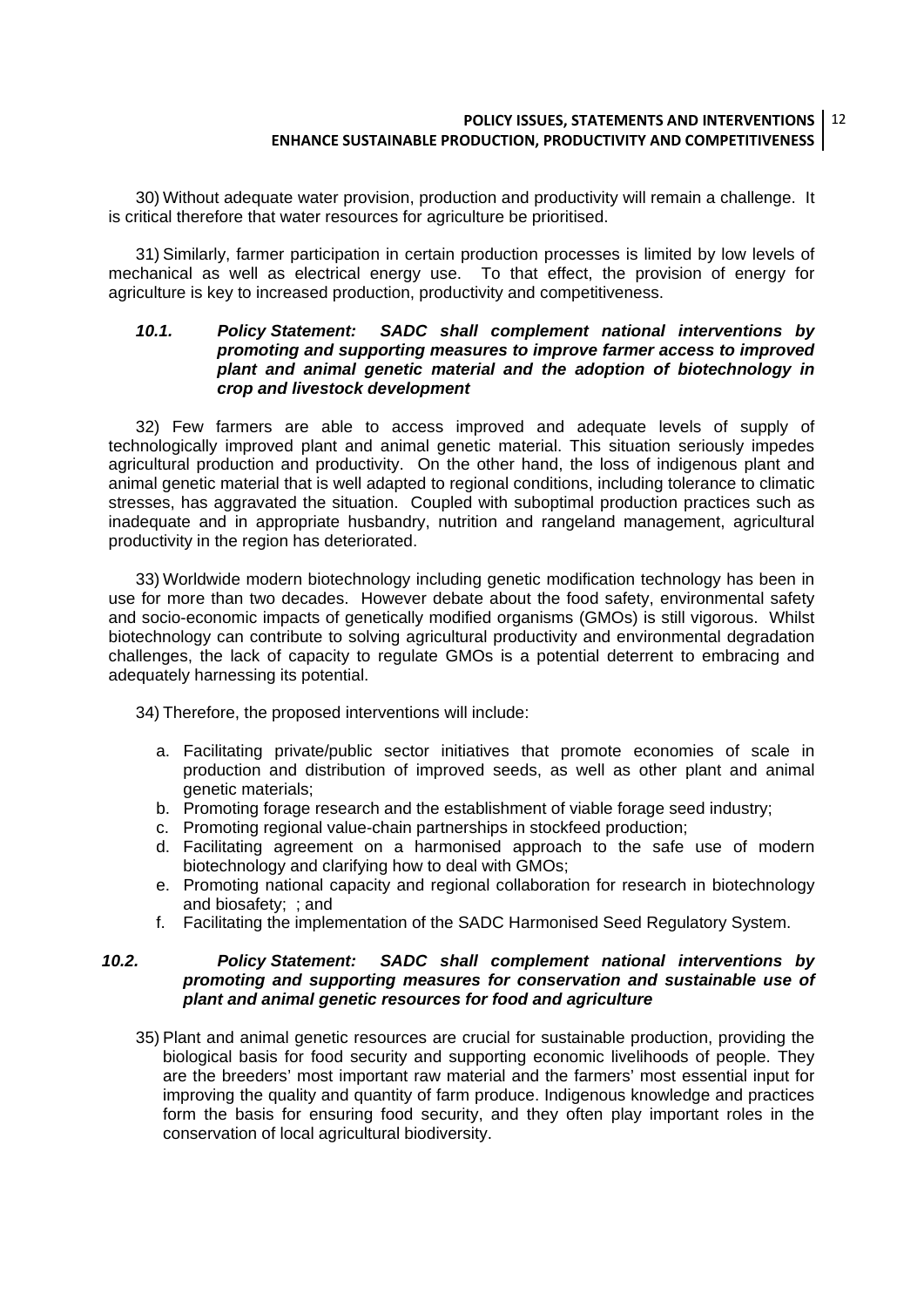#### **POLICY ISSUES, STATEMENTS AND INTERVENTIONS** 12 **ENHANCE SUSTAINABLE PRODUCTION, PRODUCTIVITY AND COMPETITIVENESS**

30) Without adequate water provision, production and productivity will remain a challenge. It is critical therefore that water resources for agriculture be prioritised.

31) Similarly, farmer participation in certain production processes is limited by low levels of mechanical as well as electrical energy use. To that effect, the provision of energy for agriculture is key to increased production, productivity and competitiveness.

#### *10.1. Policy Statement: SADC shall complement national interventions by promoting and supporting measures to improve farmer access to improved plant and animal genetic material and the adoption of biotechnology in crop and livestock development*

32) Few farmers are able to access improved and adequate levels of supply of technologically improved plant and animal genetic material. This situation seriously impedes agricultural production and productivity. On the other hand, the loss of indigenous plant and animal genetic material that is well adapted to regional conditions, including tolerance to climatic stresses, has aggravated the situation. Coupled with suboptimal production practices such as inadequate and in appropriate husbandry, nutrition and rangeland management, agricultural productivity in the region has deteriorated.

33) Worldwide modern biotechnology including genetic modification technology has been in use for more than two decades. However debate about the food safety, environmental safety and socio-economic impacts of genetically modified organisms (GMOs) is still vigorous. Whilst biotechnology can contribute to solving agricultural productivity and environmental degradation challenges, the lack of capacity to regulate GMOs is a potential deterrent to embracing and adequately harnessing its potential.

34) Therefore, the proposed interventions will include:

- a. Facilitating private/public sector initiatives that promote economies of scale in production and distribution of improved seeds, as well as other plant and animal genetic materials;
- b. Promoting forage research and the establishment of viable forage seed industry;
- c. Promoting regional value-chain partnerships in stockfeed production;
- d. Facilitating agreement on a harmonised approach to the safe use of modern biotechnology and clarifying how to deal with GMOs;
- e. Promoting national capacity and regional collaboration for research in biotechnology and biosafety; ; and
- f. Facilitating the implementation of the SADC Harmonised Seed Regulatory System.

#### *10.2. Policy Statement: SADC shall complement national interventions by promoting and supporting measures for conservation and sustainable use of plant and animal genetic resources for food and agriculture*

35) Plant and animal genetic resources are crucial for sustainable production, providing the biological basis for food security and supporting economic livelihoods of people. They are the breeders' most important raw material and the farmers' most essential input for improving the quality and quantity of farm produce. Indigenous knowledge and practices form the basis for ensuring food security, and they often play important roles in the conservation of local agricultural biodiversity.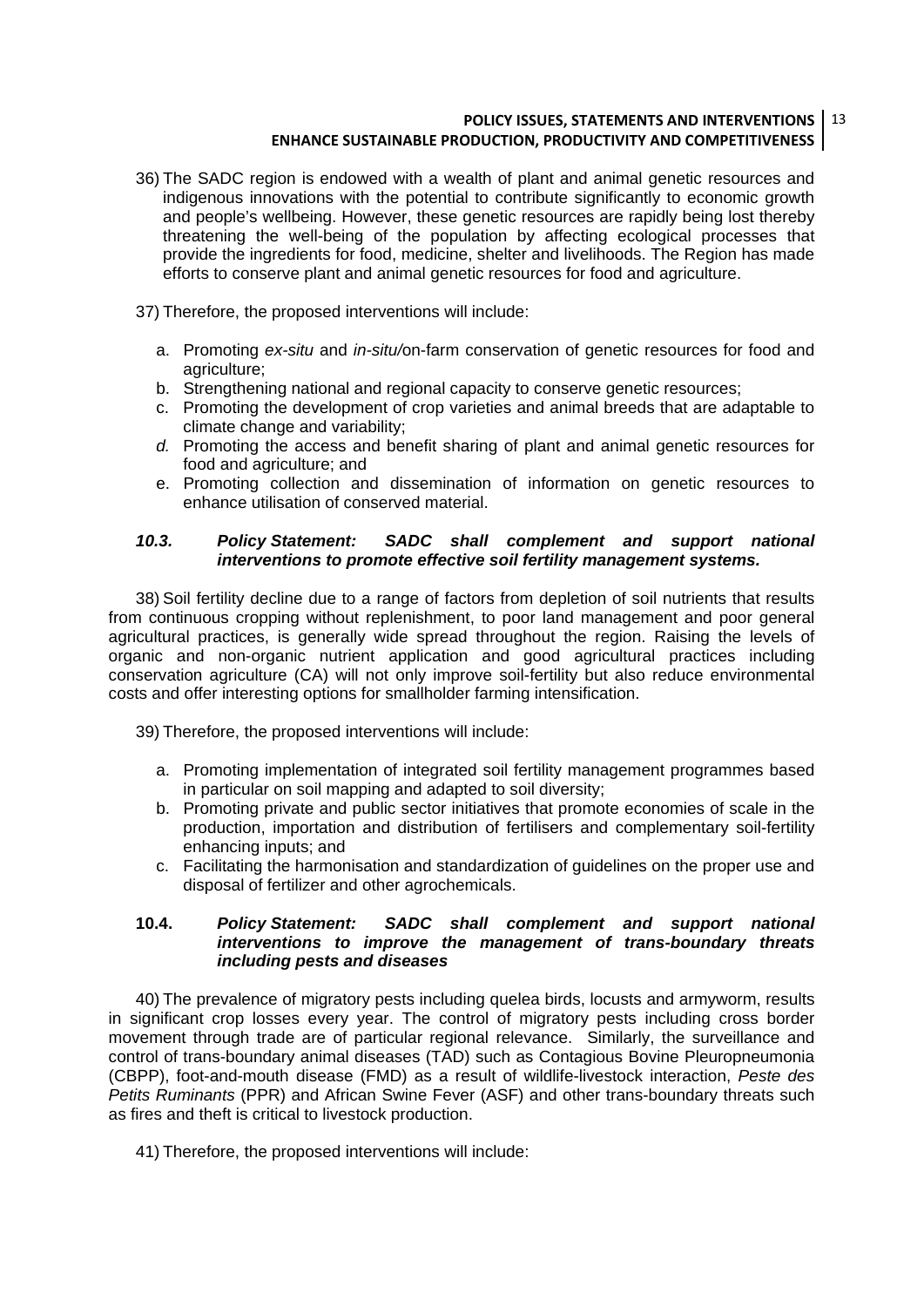#### **POLICY ISSUES, STATEMENTS AND INTERVENTIONS** 13 **ENHANCE SUSTAINABLE PRODUCTION, PRODUCTIVITY AND COMPETITIVENESS**

- 36) The SADC region is endowed with a wealth of plant and animal genetic resources and indigenous innovations with the potential to contribute significantly to economic growth and people's wellbeing. However, these genetic resources are rapidly being lost thereby threatening the well-being of the population by affecting ecological processes that provide the ingredients for food, medicine, shelter and livelihoods. The Region has made efforts to conserve plant and animal genetic resources for food and agriculture.
- 37) Therefore, the proposed interventions will include:
	- a. Promoting *ex-situ* and *in-situ/*on-farm conservation of genetic resources for food and agriculture;
	- b. Strengthening national and regional capacity to conserve genetic resources;
	- c. Promoting the development of crop varieties and animal breeds that are adaptable to climate change and variability;
	- *d.* Promoting the access and benefit sharing of plant and animal genetic resources for food and agriculture; and
	- e. Promoting collection and dissemination of information on genetic resources to enhance utilisation of conserved material.

#### *10.3. Policy Statement: SADC shall complement and support national interventions to promote effective soil fertility management systems.*

38) Soil fertility decline due to a range of factors from depletion of soil nutrients that results from continuous cropping without replenishment, to poor land management and poor general agricultural practices, is generally wide spread throughout the region. Raising the levels of organic and non-organic nutrient application and good agricultural practices including conservation agriculture (CA) will not only improve soil-fertility but also reduce environmental costs and offer interesting options for smallholder farming intensification.

39) Therefore, the proposed interventions will include:

- a. Promoting implementation of integrated soil fertility management programmes based in particular on soil mapping and adapted to soil diversity;
- b. Promoting private and public sector initiatives that promote economies of scale in the production, importation and distribution of fertilisers and complementary soil-fertility enhancing inputs; and
- c. Facilitating the harmonisation and standardization of guidelines on the proper use and disposal of fertilizer and other agrochemicals.

#### **10.4.** *Policy Statement: SADC shall complement and support national interventions to improve the management of trans-boundary threats including pests and diseases*

40) The prevalence of migratory pests including quelea birds, locusts and armyworm, results in significant crop losses every year. The control of migratory pests including cross border movement through trade are of particular regional relevance. Similarly, the surveillance and control of trans-boundary animal diseases (TAD) such as Contagious Bovine Pleuropneumonia (CBPP), foot-and-mouth disease (FMD) as a result of wildlife-livestock interaction, *Peste des Petits Ruminants* (PPR) and African Swine Fever (ASF) and other trans-boundary threats such as fires and theft is critical to livestock production.

41) Therefore, the proposed interventions will include: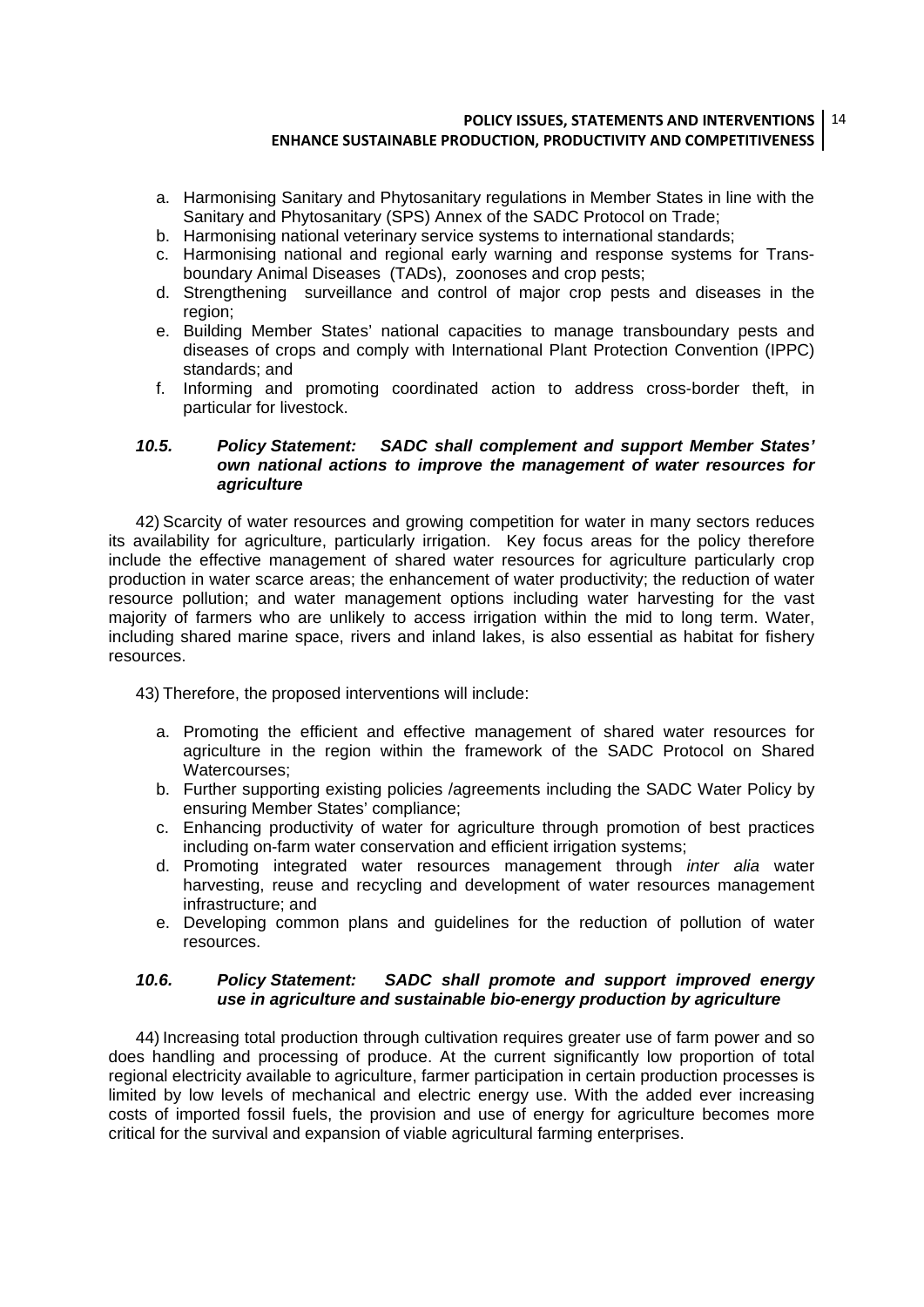#### **POLICY ISSUES, STATEMENTS AND INTERVENTIONS** 14 **ENHANCE SUSTAINABLE PRODUCTION, PRODUCTIVITY AND COMPETITIVENESS**

- a. Harmonising Sanitary and Phytosanitary regulations in Member States in line with the Sanitary and Phytosanitary (SPS) Annex of the SADC Protocol on Trade;
- b. Harmonising national veterinary service systems to international standards;
- c. Harmonising national and regional early warning and response systems for Transboundary Animal Diseases (TADs), zoonoses and crop pests;
- d. Strengthening surveillance and control of major crop pests and diseases in the region;
- e. Building Member States' national capacities to manage transboundary pests and diseases of crops and comply with International Plant Protection Convention (IPPC) standards; and
- f. Informing and promoting coordinated action to address cross-border theft, in particular for livestock.

#### *10.5. Policy Statement: SADC shall complement and support Member States' own national actions to improve the management of water resources for agriculture*

42) Scarcity of water resources and growing competition for water in many sectors reduces its availability for agriculture, particularly irrigation. Key focus areas for the policy therefore include the effective management of shared water resources for agriculture particularly crop production in water scarce areas; the enhancement of water productivity; the reduction of water resource pollution; and water management options including water harvesting for the vast majority of farmers who are unlikely to access irrigation within the mid to long term. Water, including shared marine space, rivers and inland lakes, is also essential as habitat for fishery resources.

43) Therefore, the proposed interventions will include:

- a. Promoting the efficient and effective management of shared water resources for agriculture in the region within the framework of the SADC Protocol on Shared Watercourses;
- b. Further supporting existing policies /agreements including the SADC Water Policy by ensuring Member States' compliance;
- c. Enhancing productivity of water for agriculture through promotion of best practices including on-farm water conservation and efficient irrigation systems:
- d. Promoting integrated water resources management through *inter alia* water harvesting, reuse and recycling and development of water resources management infrastructure; and
- e. Developing common plans and guidelines for the reduction of pollution of water resources.

#### *10.6. Policy Statement: SADC shall promote and support improved energy use in agriculture and sustainable bio-energy production by agriculture*

44) Increasing total production through cultivation requires greater use of farm power and so does handling and processing of produce. At the current significantly low proportion of total regional electricity available to agriculture, farmer participation in certain production processes is limited by low levels of mechanical and electric energy use. With the added ever increasing costs of imported fossil fuels, the provision and use of energy for agriculture becomes more critical for the survival and expansion of viable agricultural farming enterprises.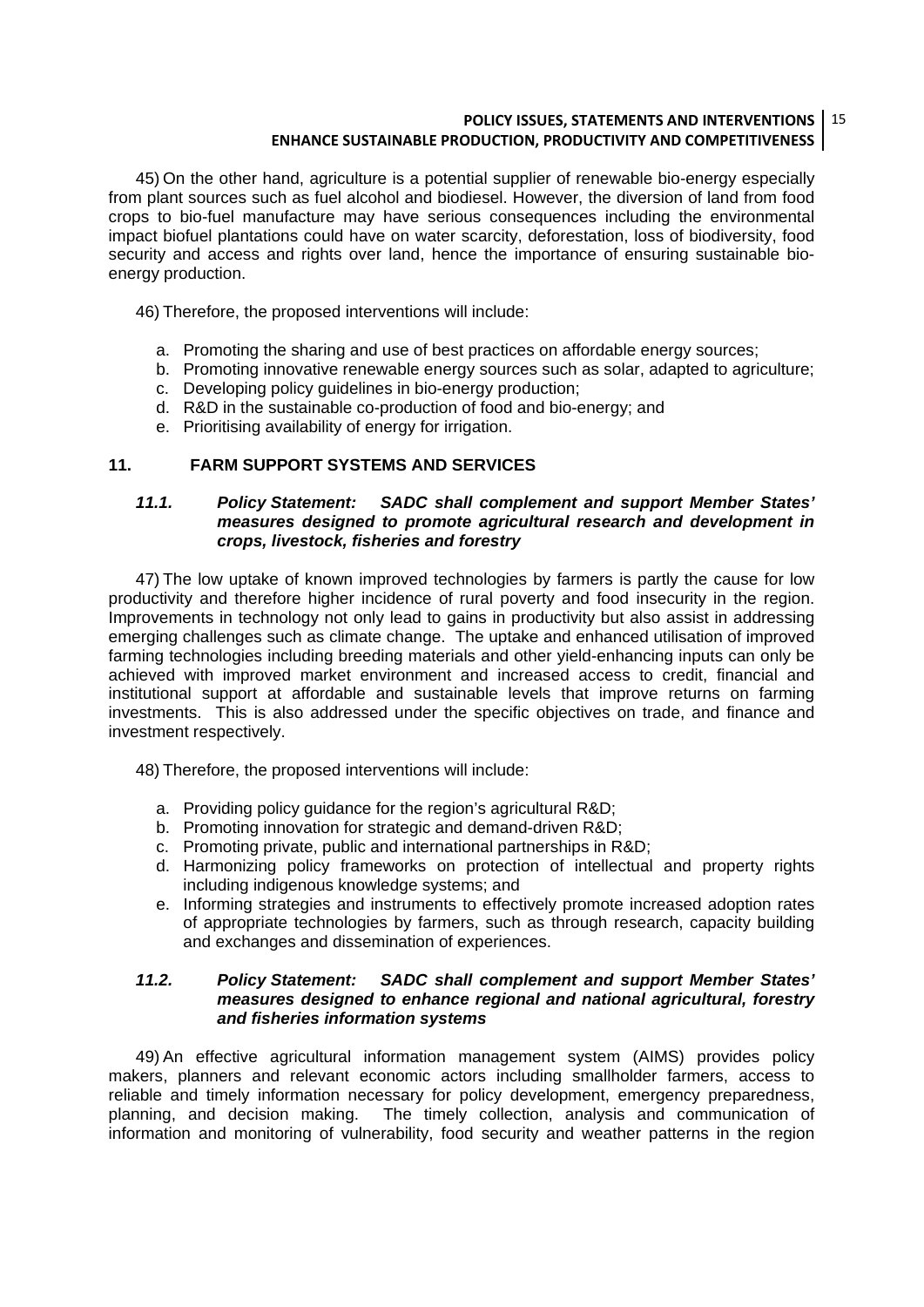#### **POLICY ISSUES, STATEMENTS AND INTERVENTIONS** 15 **ENHANCE SUSTAINABLE PRODUCTION, PRODUCTIVITY AND COMPETITIVENESS**

45) On the other hand, agriculture is a potential supplier of renewable bio-energy especially from plant sources such as fuel alcohol and biodiesel. However, the diversion of land from food crops to bio-fuel manufacture may have serious consequences including the environmental impact biofuel plantations could have on water scarcity, deforestation, loss of biodiversity, food security and access and rights over land, hence the importance of ensuring sustainable bioenergy production.

46) Therefore, the proposed interventions will include:

- a. Promoting the sharing and use of best practices on affordable energy sources;
- b. Promoting innovative renewable energy sources such as solar, adapted to agriculture;
- c. Developing policy guidelines in bio-energy production;
- d. R&D in the sustainable co-production of food and bio-energy; and
- e. Prioritising availability of energy for irrigation.

#### **11. FARM SUPPORT SYSTEMS AND SERVICES**

#### *11.1. Policy Statement: SADC shall complement and support Member States' measures designed to promote agricultural research and development in crops, livestock, fisheries and forestry*

47) The low uptake of known improved technologies by farmers is partly the cause for low productivity and therefore higher incidence of rural poverty and food insecurity in the region. Improvements in technology not only lead to gains in productivity but also assist in addressing emerging challenges such as climate change. The uptake and enhanced utilisation of improved farming technologies including breeding materials and other yield-enhancing inputs can only be achieved with improved market environment and increased access to credit, financial and institutional support at affordable and sustainable levels that improve returns on farming investments. This is also addressed under the specific objectives on trade, and finance and investment respectively.

48) Therefore, the proposed interventions will include:

- a. Providing policy guidance for the region's agricultural R&D;
- b. Promoting innovation for strategic and demand-driven R&D;
- c. Promoting private, public and international partnerships in R&D;
- d. Harmonizing policy frameworks on protection of intellectual and property rights including indigenous knowledge systems; and
- e. Informing strategies and instruments to effectively promote increased adoption rates of appropriate technologies by farmers, such as through research, capacity building and exchanges and dissemination of experiences.

#### *11.2. Policy Statement: SADC shall complement and support Member States' measures designed to enhance regional and national agricultural, forestry and fisheries information systems*

49) An effective agricultural information management system (AIMS) provides policy makers, planners and relevant economic actors including smallholder farmers, access to reliable and timely information necessary for policy development, emergency preparedness, planning, and decision making. The timely collection, analysis and communication of information and monitoring of vulnerability, food security and weather patterns in the region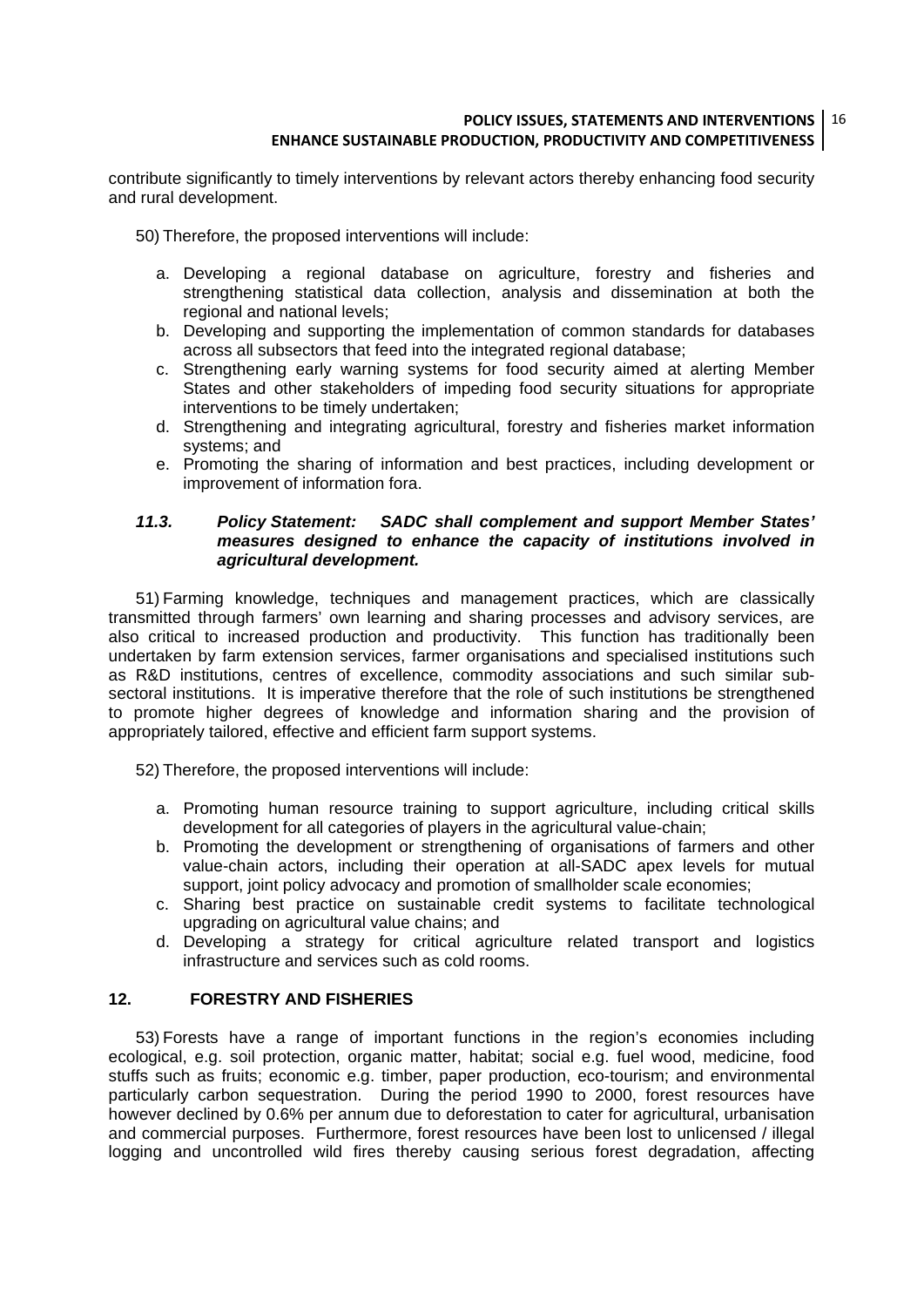#### **POLICY ISSUES, STATEMENTS AND INTERVENTIONS** 16 **ENHANCE SUSTAINABLE PRODUCTION, PRODUCTIVITY AND COMPETITIVENESS**

contribute significantly to timely interventions by relevant actors thereby enhancing food security and rural development.

- 50) Therefore, the proposed interventions will include:
	- a. Developing a regional database on agriculture, forestry and fisheries and strengthening statistical data collection, analysis and dissemination at both the regional and national levels;
	- b. Developing and supporting the implementation of common standards for databases across all subsectors that feed into the integrated regional database;
	- c. Strengthening early warning systems for food security aimed at alerting Member States and other stakeholders of impeding food security situations for appropriate interventions to be timely undertaken;
	- d. Strengthening and integrating agricultural, forestry and fisheries market information systems; and
	- e. Promoting the sharing of information and best practices, including development or improvement of information fora.

#### *11.3. Policy Statement: SADC shall complement and support Member States' measures designed to enhance the capacity of institutions involved in agricultural development.*

51) Farming knowledge, techniques and management practices, which are classically transmitted through farmers' own learning and sharing processes and advisory services, are also critical to increased production and productivity. This function has traditionally been undertaken by farm extension services, farmer organisations and specialised institutions such as R&D institutions, centres of excellence, commodity associations and such similar subsectoral institutions. It is imperative therefore that the role of such institutions be strengthened to promote higher degrees of knowledge and information sharing and the provision of appropriately tailored, effective and efficient farm support systems.

52) Therefore, the proposed interventions will include:

- a. Promoting human resource training to support agriculture, including critical skills development for all categories of players in the agricultural value-chain;
- b. Promoting the development or strengthening of organisations of farmers and other value-chain actors, including their operation at all-SADC apex levels for mutual support, joint policy advocacy and promotion of smallholder scale economies;
- c. Sharing best practice on sustainable credit systems to facilitate technological upgrading on agricultural value chains; and
- d. Developing a strategy for critical agriculture related transport and logistics infrastructure and services such as cold rooms.

#### **12. FORESTRY AND FISHERIES**

53) Forests have a range of important functions in the region's economies including ecological, e.g. soil protection, organic matter, habitat; social e.g. fuel wood, medicine, food stuffs such as fruits; economic e.g. timber, paper production, eco-tourism; and environmental particularly carbon sequestration. During the period 1990 to 2000, forest resources have however declined by 0.6% per annum due to deforestation to cater for agricultural, urbanisation and commercial purposes. Furthermore, forest resources have been lost to unlicensed / illegal logging and uncontrolled wild fires thereby causing serious forest degradation, affecting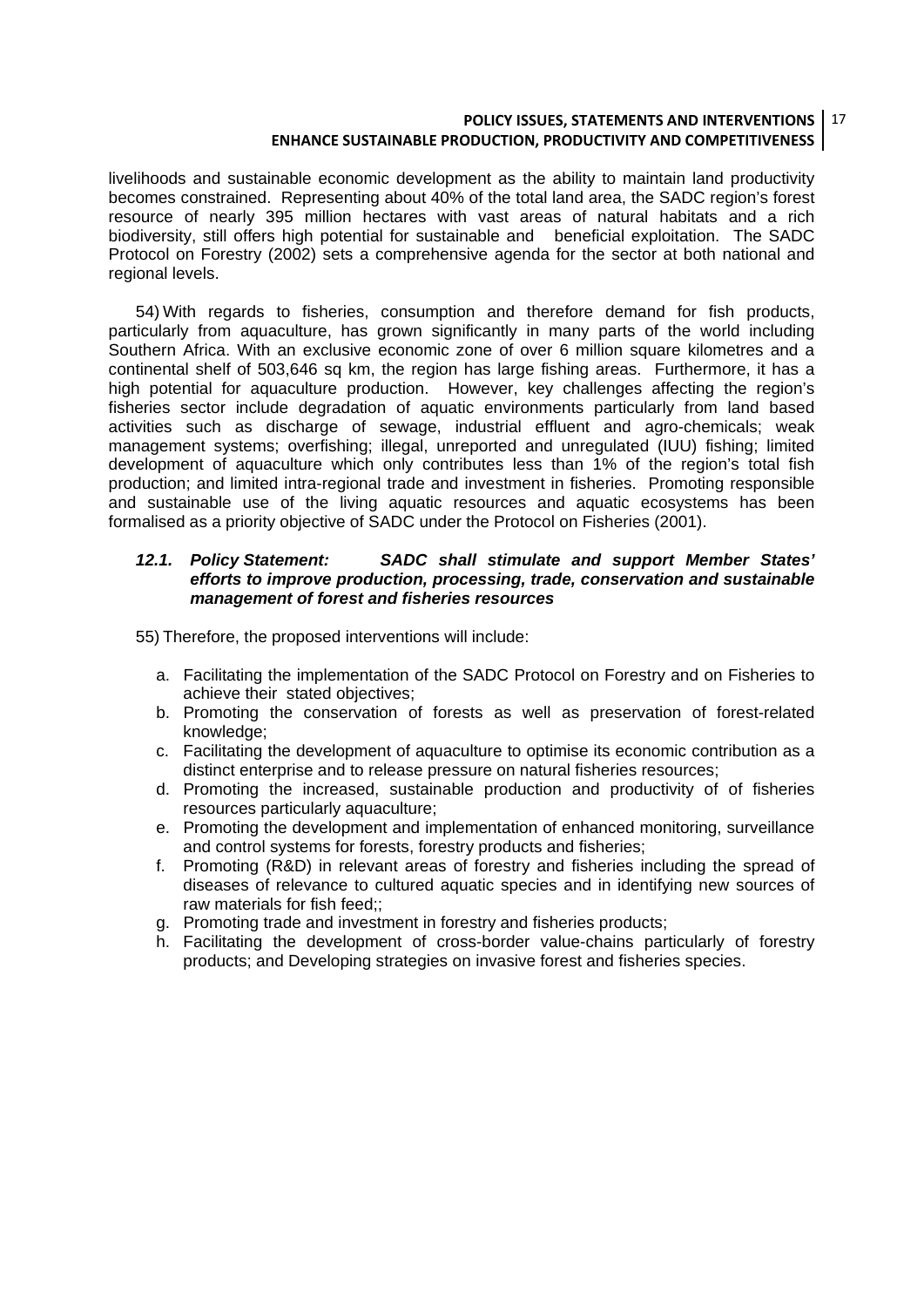#### **POLICY ISSUES, STATEMENTS AND INTERVENTIONS** 17 **ENHANCE SUSTAINABLE PRODUCTION, PRODUCTIVITY AND COMPETITIVENESS**

livelihoods and sustainable economic development as the ability to maintain land productivity becomes constrained. Representing about 40% of the total land area, the SADC region's forest resource of nearly 395 million hectares with vast areas of natural habitats and a rich biodiversity, still offers high potential for sustainable and beneficial exploitation. The SADC Protocol on Forestry (2002) sets a comprehensive agenda for the sector at both national and regional levels.

54) With regards to fisheries, consumption and therefore demand for fish products, particularly from aquaculture, has grown significantly in many parts of the world including Southern Africa. With an exclusive economic zone of over 6 million square kilometres and a continental shelf of 503,646 sq km, the region has large fishing areas. Furthermore, it has a high potential for aquaculture production. However, key challenges affecting the region's fisheries sector include degradation of aquatic environments particularly from land based activities such as discharge of sewage, industrial effluent and agro-chemicals; weak management systems; overfishing; illegal, unreported and unregulated (IUU) fishing; limited development of aquaculture which only contributes less than 1% of the region's total fish production; and limited intra-regional trade and investment in fisheries. Promoting responsible and sustainable use of the living aquatic resources and aquatic ecosystems has been formalised as a priority objective of SADC under the Protocol on Fisheries (2001).

#### *12.1. Policy Statement: SADC shall stimulate and support Member States' efforts to improve production, processing, trade, conservation and sustainable management of forest and fisheries resources*

55) Therefore, the proposed interventions will include:

- a. Facilitating the implementation of the SADC Protocol on Forestry and on Fisheries to achieve their stated objectives;
- b. Promoting the conservation of forests as well as preservation of forest-related knowledge;
- c. Facilitating the development of aquaculture to optimise its economic contribution as a distinct enterprise and to release pressure on natural fisheries resources;
- d. Promoting the increased, sustainable production and productivity of of fisheries resources particularly aquaculture;
- e. Promoting the development and implementation of enhanced monitoring, surveillance and control systems for forests, forestry products and fisheries;
- f. Promoting (R&D) in relevant areas of forestry and fisheries including the spread of diseases of relevance to cultured aquatic species and in identifying new sources of raw materials for fish feed;;
- g. Promoting trade and investment in forestry and fisheries products;
- h. Facilitating the development of cross-border value-chains particularly of forestry products; and Developing strategies on invasive forest and fisheries species.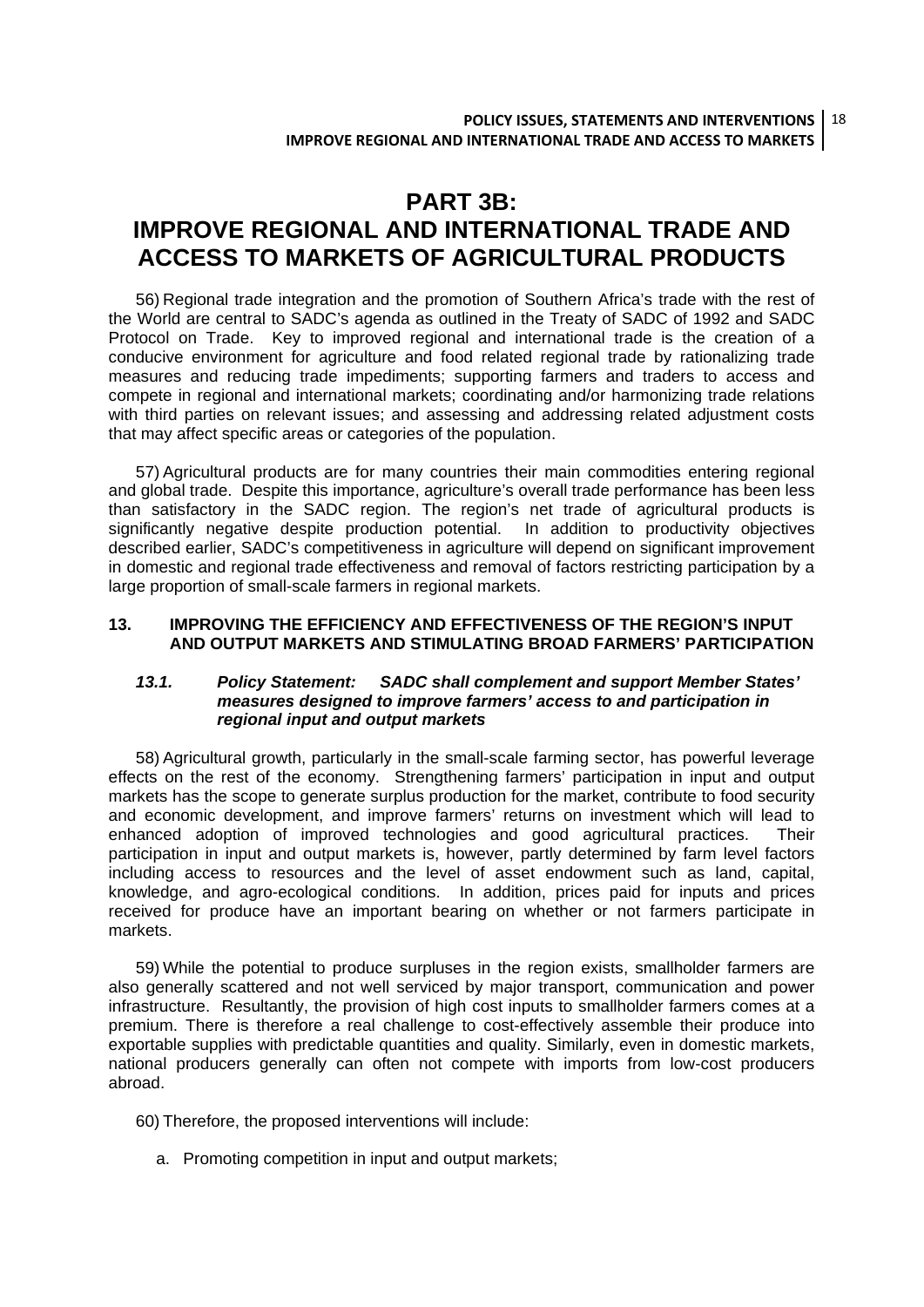### **PART 3B: IMPROVE REGIONAL AND INTERNATIONAL TRADE AND ACCESS TO MARKETS OF AGRICULTURAL PRODUCTS**

56) Regional trade integration and the promotion of Southern Africa's trade with the rest of the World are central to SADC's agenda as outlined in the Treaty of SADC of 1992 and SADC Protocol on Trade. Key to improved regional and international trade is the creation of a conducive environment for agriculture and food related regional trade by rationalizing trade measures and reducing trade impediments; supporting farmers and traders to access and compete in regional and international markets; coordinating and/or harmonizing trade relations with third parties on relevant issues; and assessing and addressing related adjustment costs that may affect specific areas or categories of the population.

57) Agricultural products are for many countries their main commodities entering regional and global trade. Despite this importance, agriculture's overall trade performance has been less than satisfactory in the SADC region. The region's net trade of agricultural products is significantly negative despite production potential. In addition to productivity objectives described earlier, SADC's competitiveness in agriculture will depend on significant improvement in domestic and regional trade effectiveness and removal of factors restricting participation by a large proportion of small-scale farmers in regional markets.

#### **13. IMPROVING THE EFFICIENCY AND EFFECTIVENESS OF THE REGION'S INPUT AND OUTPUT MARKETS AND STIMULATING BROAD FARMERS' PARTICIPATION**

#### *13.1. Policy Statement: SADC shall complement and support Member States' measures designed to improve farmers' access to and participation in regional input and output markets*

58) Agricultural growth, particularly in the small-scale farming sector, has powerful leverage effects on the rest of the economy. Strengthening farmers' participation in input and output markets has the scope to generate surplus production for the market, contribute to food security and economic development, and improve farmers' returns on investment which will lead to enhanced adoption of improved technologies and good agricultural practices. Their participation in input and output markets is, however, partly determined by farm level factors including access to resources and the level of asset endowment such as land, capital, knowledge, and agro-ecological conditions. In addition, prices paid for inputs and prices received for produce have an important bearing on whether or not farmers participate in markets.

59) While the potential to produce surpluses in the region exists, smallholder farmers are also generally scattered and not well serviced by major transport, communication and power infrastructure. Resultantly, the provision of high cost inputs to smallholder farmers comes at a premium. There is therefore a real challenge to cost-effectively assemble their produce into exportable supplies with predictable quantities and quality. Similarly, even in domestic markets, national producers generally can often not compete with imports from low-cost producers abroad.

- 60) Therefore, the proposed interventions will include:
	- a. Promoting competition in input and output markets;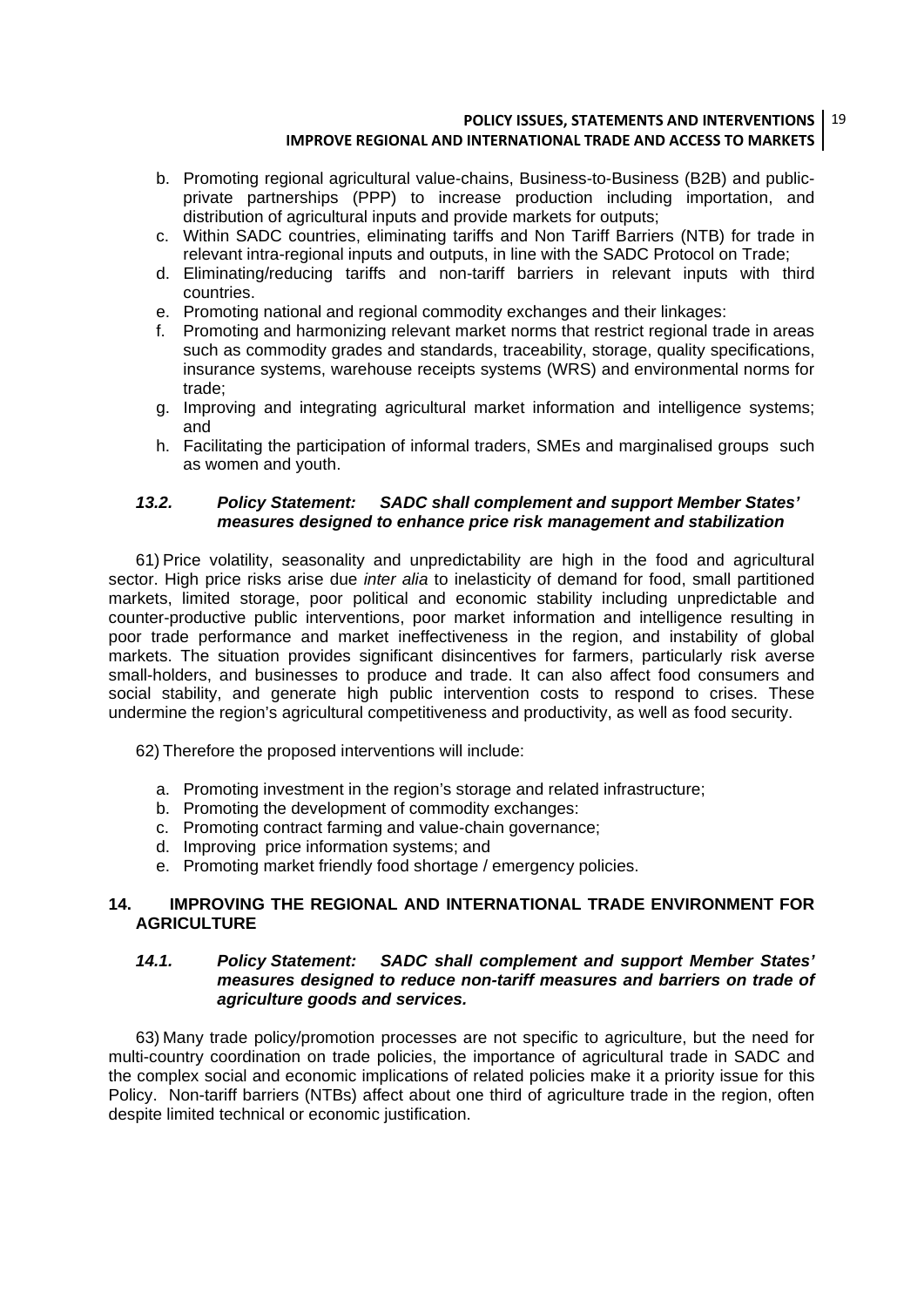#### **POLICY ISSUES, STATEMENTS AND INTERVENTIONS** 19 **IMPROVE REGIONAL AND INTERNATIONAL TRADE AND ACCESS TO MARKETS**

- b. Promoting regional agricultural value-chains, Business-to-Business (B2B) and publicprivate partnerships (PPP) to increase production including importation, and distribution of agricultural inputs and provide markets for outputs;
- c. Within SADC countries, eliminating tariffs and Non Tariff Barriers (NTB) for trade in relevant intra-regional inputs and outputs, in line with the SADC Protocol on Trade;
- d. Eliminating/reducing tariffs and non-tariff barriers in relevant inputs with third countries.
- e. Promoting national and regional commodity exchanges and their linkages:
- f. Promoting and harmonizing relevant market norms that restrict regional trade in areas such as commodity grades and standards, traceability, storage, quality specifications, insurance systems, warehouse receipts systems (WRS) and environmental norms for trade;
- g. Improving and integrating agricultural market information and intelligence systems; and
- h. Facilitating the participation of informal traders, SMEs and marginalised groups such as women and youth.

#### *13.2. Policy Statement: SADC shall complement and support Member States' measures designed to enhance price risk management and stabilization*

61) Price volatility, seasonality and unpredictability are high in the food and agricultural sector. High price risks arise due *inter alia* to inelasticity of demand for food, small partitioned markets, limited storage, poor political and economic stability including unpredictable and counter-productive public interventions, poor market information and intelligence resulting in poor trade performance and market ineffectiveness in the region, and instability of global markets. The situation provides significant disincentives for farmers, particularly risk averse small-holders, and businesses to produce and trade. It can also affect food consumers and social stability, and generate high public intervention costs to respond to crises. These undermine the region's agricultural competitiveness and productivity, as well as food security.

62) Therefore the proposed interventions will include:

- a. Promoting investment in the region's storage and related infrastructure;
- b. Promoting the development of commodity exchanges:
- c. Promoting contract farming and value-chain governance;
- d. Improving price information systems; and
- e. Promoting market friendly food shortage / emergency policies.

#### **14. IMPROVING THE REGIONAL AND INTERNATIONAL TRADE ENVIRONMENT FOR AGRICULTURE**

#### *14.1. Policy Statement: SADC shall complement and support Member States' measures designed to reduce non-tariff measures and barriers on trade of agriculture goods and services.*

63) Many trade policy/promotion processes are not specific to agriculture, but the need for multi-country coordination on trade policies, the importance of agricultural trade in SADC and the complex social and economic implications of related policies make it a priority issue for this Policy. Non-tariff barriers (NTBs) affect about one third of agriculture trade in the region, often despite limited technical or economic justification.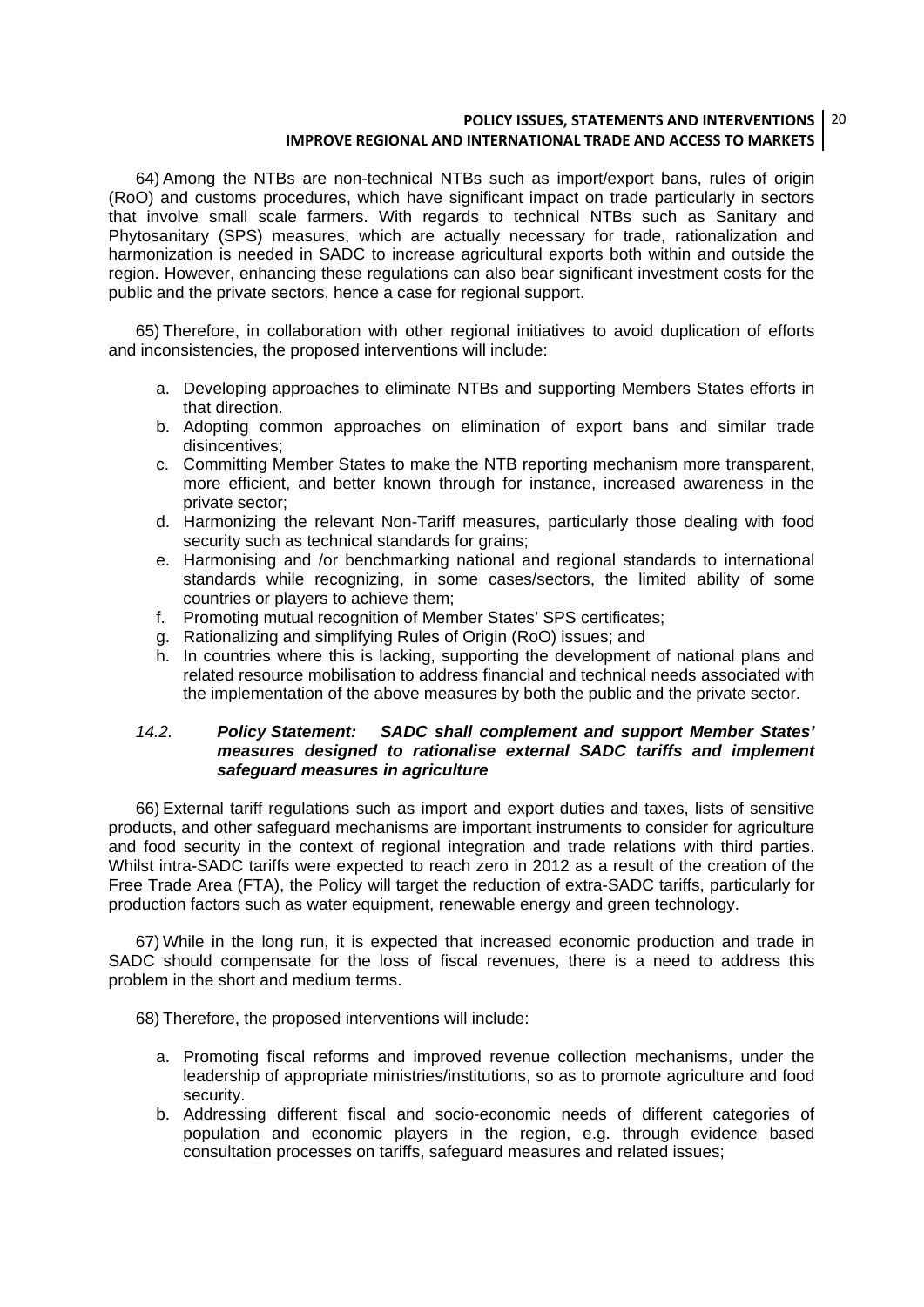#### **POLICY ISSUES, STATEMENTS AND INTERVENTIONS** 20 **IMPROVE REGIONAL AND INTERNATIONAL TRADE AND ACCESS TO MARKETS**

64) Among the NTBs are non-technical NTBs such as import/export bans, rules of origin (RoO) and customs procedures, which have significant impact on trade particularly in sectors that involve small scale farmers. With regards to technical NTBs such as Sanitary and Phytosanitary (SPS) measures, which are actually necessary for trade, rationalization and harmonization is needed in SADC to increase agricultural exports both within and outside the region. However, enhancing these regulations can also bear significant investment costs for the public and the private sectors, hence a case for regional support.

65) Therefore, in collaboration with other regional initiatives to avoid duplication of efforts and inconsistencies, the proposed interventions will include:

- a. Developing approaches to eliminate NTBs and supporting Members States efforts in that direction.
- b. Adopting common approaches on elimination of export bans and similar trade disincentives;
- c. Committing Member States to make the NTB reporting mechanism more transparent, more efficient, and better known through for instance, increased awareness in the private sector;
- d. Harmonizing the relevant Non-Tariff measures, particularly those dealing with food security such as technical standards for grains;
- e. Harmonising and /or benchmarking national and regional standards to international standards while recognizing, in some cases/sectors, the limited ability of some countries or players to achieve them;
- f. Promoting mutual recognition of Member States' SPS certificates;
- g. Rationalizing and simplifying Rules of Origin (RoO) issues; and
- h. In countries where this is lacking, supporting the development of national plans and related resource mobilisation to address financial and technical needs associated with the implementation of the above measures by both the public and the private sector.

#### *14.2. Policy Statement: SADC shall complement and support Member States' measures designed to rationalise external SADC tariffs and implement safeguard measures in agriculture*

66) External tariff regulations such as import and export duties and taxes, lists of sensitive products, and other safeguard mechanisms are important instruments to consider for agriculture and food security in the context of regional integration and trade relations with third parties. Whilst intra-SADC tariffs were expected to reach zero in 2012 as a result of the creation of the Free Trade Area (FTA), the Policy will target the reduction of extra-SADC tariffs, particularly for production factors such as water equipment, renewable energy and green technology.

67) While in the long run, it is expected that increased economic production and trade in SADC should compensate for the loss of fiscal revenues, there is a need to address this problem in the short and medium terms.

68) Therefore, the proposed interventions will include:

- a. Promoting fiscal reforms and improved revenue collection mechanisms, under the leadership of appropriate ministries/institutions, so as to promote agriculture and food security.
- b. Addressing different fiscal and socio-economic needs of different categories of population and economic players in the region, e.g. through evidence based consultation processes on tariffs, safeguard measures and related issues;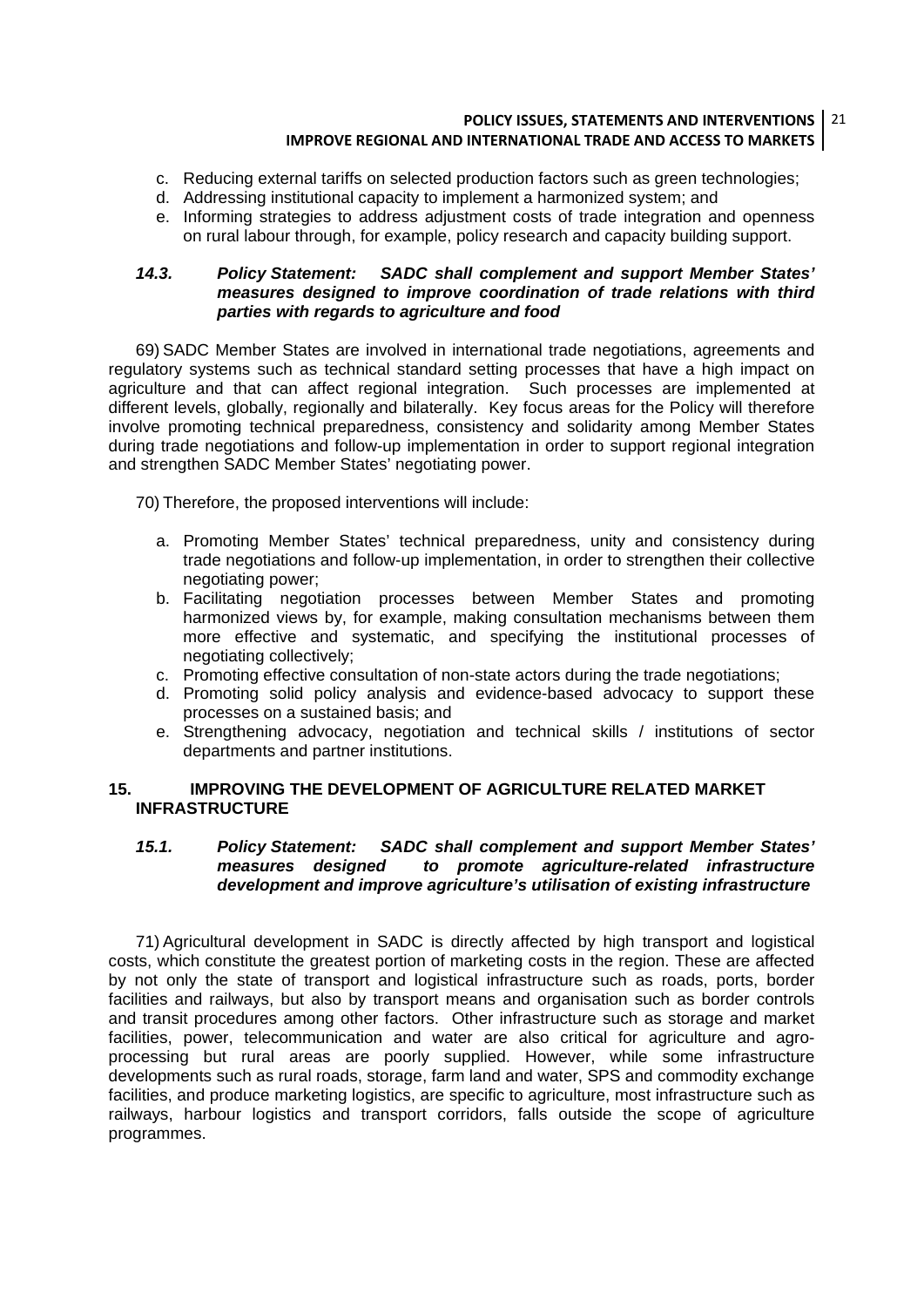#### **POLICY ISSUES, STATEMENTS AND INTERVENTIONS** 21 **IMPROVE REGIONAL AND INTERNATIONAL TRADE AND ACCESS TO MARKETS**

- c. Reducing external tariffs on selected production factors such as green technologies;
- d. Addressing institutional capacity to implement a harmonized system; and
- e. Informing strategies to address adjustment costs of trade integration and openness on rural labour through, for example, policy research and capacity building support.

#### *14.3. Policy Statement: SADC shall complement and support Member States' measures designed to improve coordination of trade relations with third parties with regards to agriculture and food*

69) SADC Member States are involved in international trade negotiations, agreements and regulatory systems such as technical standard setting processes that have a high impact on agriculture and that can affect regional integration. Such processes are implemented at different levels, globally, regionally and bilaterally. Key focus areas for the Policy will therefore involve promoting technical preparedness, consistency and solidarity among Member States during trade negotiations and follow-up implementation in order to support regional integration and strengthen SADC Member States' negotiating power.

70) Therefore, the proposed interventions will include:

- a. Promoting Member States' technical preparedness, unity and consistency during trade negotiations and follow-up implementation, in order to strengthen their collective negotiating power;
- b. Facilitating negotiation processes between Member States and promoting harmonized views by, for example, making consultation mechanisms between them more effective and systematic, and specifying the institutional processes of negotiating collectively;
- c. Promoting effective consultation of non-state actors during the trade negotiations;
- d. Promoting solid policy analysis and evidence-based advocacy to support these processes on a sustained basis; and
- e. Strengthening advocacy, negotiation and technical skills / institutions of sector departments and partner institutions.

#### **15. IMPROVING THE DEVELOPMENT OF AGRICULTURE RELATED MARKET INFRASTRUCTURE**

#### *15.1. Policy Statement: SADC shall complement and support Member States' measures designed to promote agriculture-related infrastructure development and improve agriculture's utilisation of existing infrastructure*

71) Agricultural development in SADC is directly affected by high transport and logistical costs, which constitute the greatest portion of marketing costs in the region. These are affected by not only the state of transport and logistical infrastructure such as roads, ports, border facilities and railways, but also by transport means and organisation such as border controls and transit procedures among other factors. Other infrastructure such as storage and market facilities, power, telecommunication and water are also critical for agriculture and agroprocessing but rural areas are poorly supplied. However, while some infrastructure developments such as rural roads, storage, farm land and water, SPS and commodity exchange facilities, and produce marketing logistics, are specific to agriculture, most infrastructure such as railways, harbour logistics and transport corridors, falls outside the scope of agriculture programmes.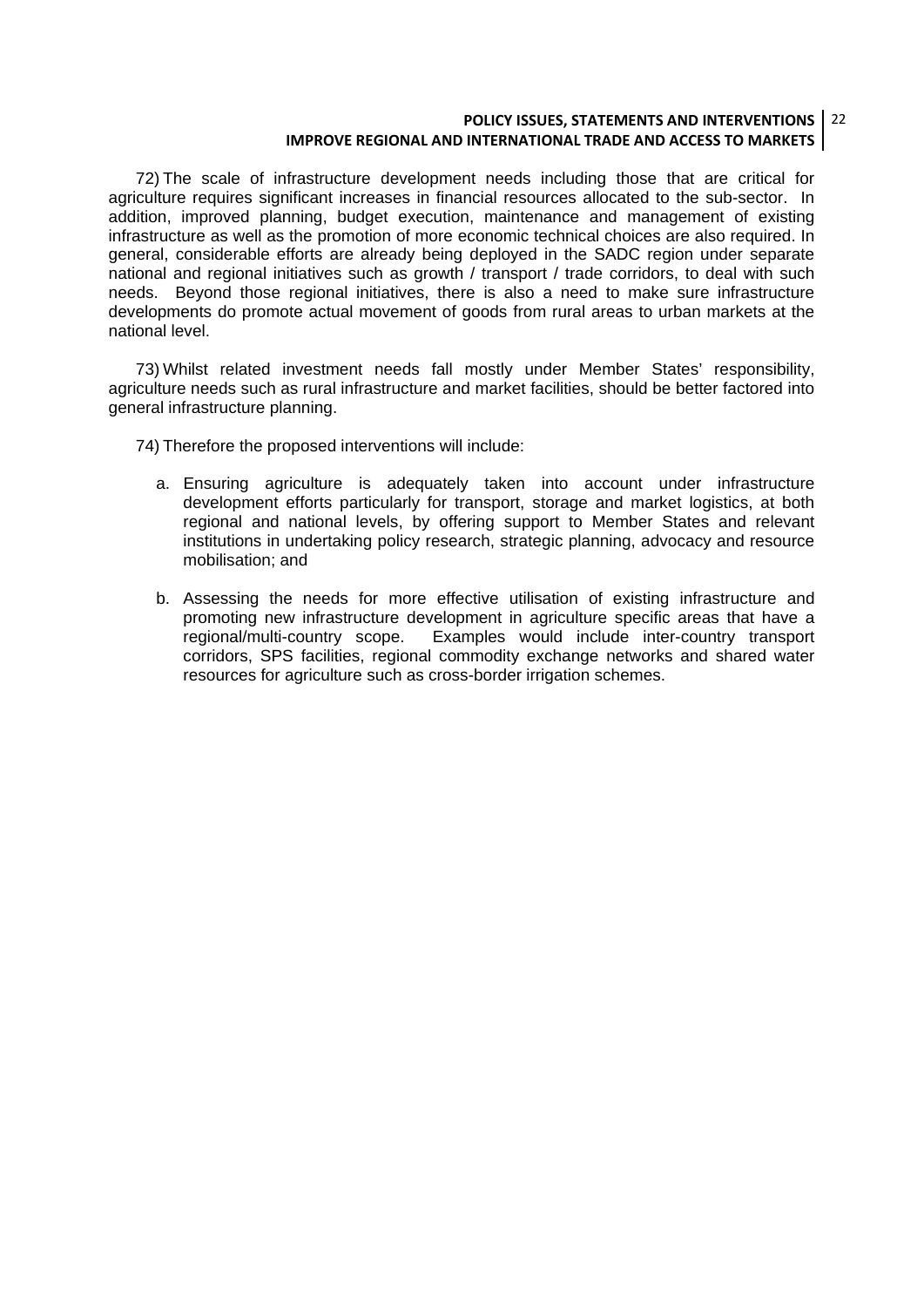#### **POLICY ISSUES, STATEMENTS AND INTERVENTIONS** 22 **IMPROVE REGIONAL AND INTERNATIONAL TRADE AND ACCESS TO MARKETS**

72) The scale of infrastructure development needs including those that are critical for agriculture requires significant increases in financial resources allocated to the sub-sector. In addition, improved planning, budget execution, maintenance and management of existing infrastructure as well as the promotion of more economic technical choices are also required. In general, considerable efforts are already being deployed in the SADC region under separate national and regional initiatives such as growth / transport / trade corridors, to deal with such needs. Beyond those regional initiatives, there is also a need to make sure infrastructure developments do promote actual movement of goods from rural areas to urban markets at the national level.

73) Whilst related investment needs fall mostly under Member States' responsibility, agriculture needs such as rural infrastructure and market facilities, should be better factored into general infrastructure planning.

74) Therefore the proposed interventions will include:

- a. Ensuring agriculture is adequately taken into account under infrastructure development efforts particularly for transport, storage and market logistics, at both regional and national levels, by offering support to Member States and relevant institutions in undertaking policy research, strategic planning, advocacy and resource mobilisation; and
- b. Assessing the needs for more effective utilisation of existing infrastructure and promoting new infrastructure development in agriculture specific areas that have a regional/multi-country scope. Examples would include inter-country transport corridors, SPS facilities, regional commodity exchange networks and shared water resources for agriculture such as cross-border irrigation schemes.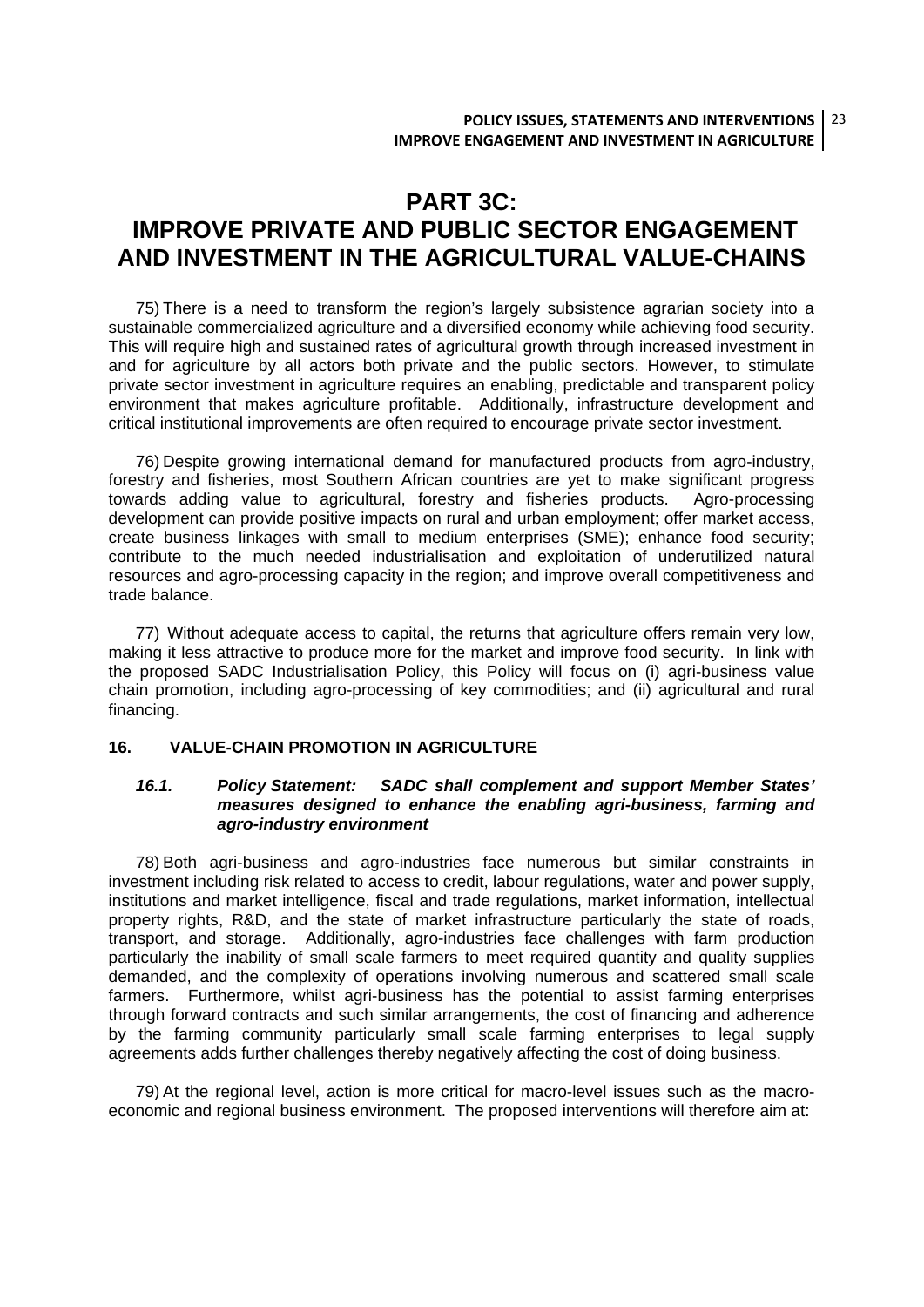### **PART 3C: IMPROVE PRIVATE AND PUBLIC SECTOR ENGAGEMENT AND INVESTMENT IN THE AGRICULTURAL VALUE-CHAINS**

75) There is a need to transform the region's largely subsistence agrarian society into a sustainable commercialized agriculture and a diversified economy while achieving food security. This will require high and sustained rates of agricultural growth through increased investment in and for agriculture by all actors both private and the public sectors. However, to stimulate private sector investment in agriculture requires an enabling, predictable and transparent policy environment that makes agriculture profitable. Additionally, infrastructure development and critical institutional improvements are often required to encourage private sector investment.

76) Despite growing international demand for manufactured products from agro-industry, forestry and fisheries, most Southern African countries are yet to make significant progress towards adding value to agricultural, forestry and fisheries products. Agro-processing development can provide positive impacts on rural and urban employment; offer market access, create business linkages with small to medium enterprises (SME); enhance food security; contribute to the much needed industrialisation and exploitation of underutilized natural resources and agro-processing capacity in the region; and improve overall competitiveness and trade balance.

77) Without adequate access to capital, the returns that agriculture offers remain very low, making it less attractive to produce more for the market and improve food security. In link with the proposed SADC Industrialisation Policy, this Policy will focus on (i) agri-business value chain promotion, including agro-processing of key commodities; and (ii) agricultural and rural financing.

#### **16. VALUE-CHAIN PROMOTION IN AGRICULTURE**

#### *16.1. Policy Statement: SADC shall complement and support Member States' measures designed to enhance the enabling agri-business, farming and agro-industry environment*

78) Both agri-business and agro-industries face numerous but similar constraints in investment including risk related to access to credit, labour regulations, water and power supply, institutions and market intelligence, fiscal and trade regulations, market information, intellectual property rights, R&D, and the state of market infrastructure particularly the state of roads, transport, and storage. Additionally, agro-industries face challenges with farm production particularly the inability of small scale farmers to meet required quantity and quality supplies demanded, and the complexity of operations involving numerous and scattered small scale farmers. Furthermore, whilst agri-business has the potential to assist farming enterprises through forward contracts and such similar arrangements, the cost of financing and adherence by the farming community particularly small scale farming enterprises to legal supply agreements adds further challenges thereby negatively affecting the cost of doing business.

79) At the regional level, action is more critical for macro-level issues such as the macroeconomic and regional business environment. The proposed interventions will therefore aim at: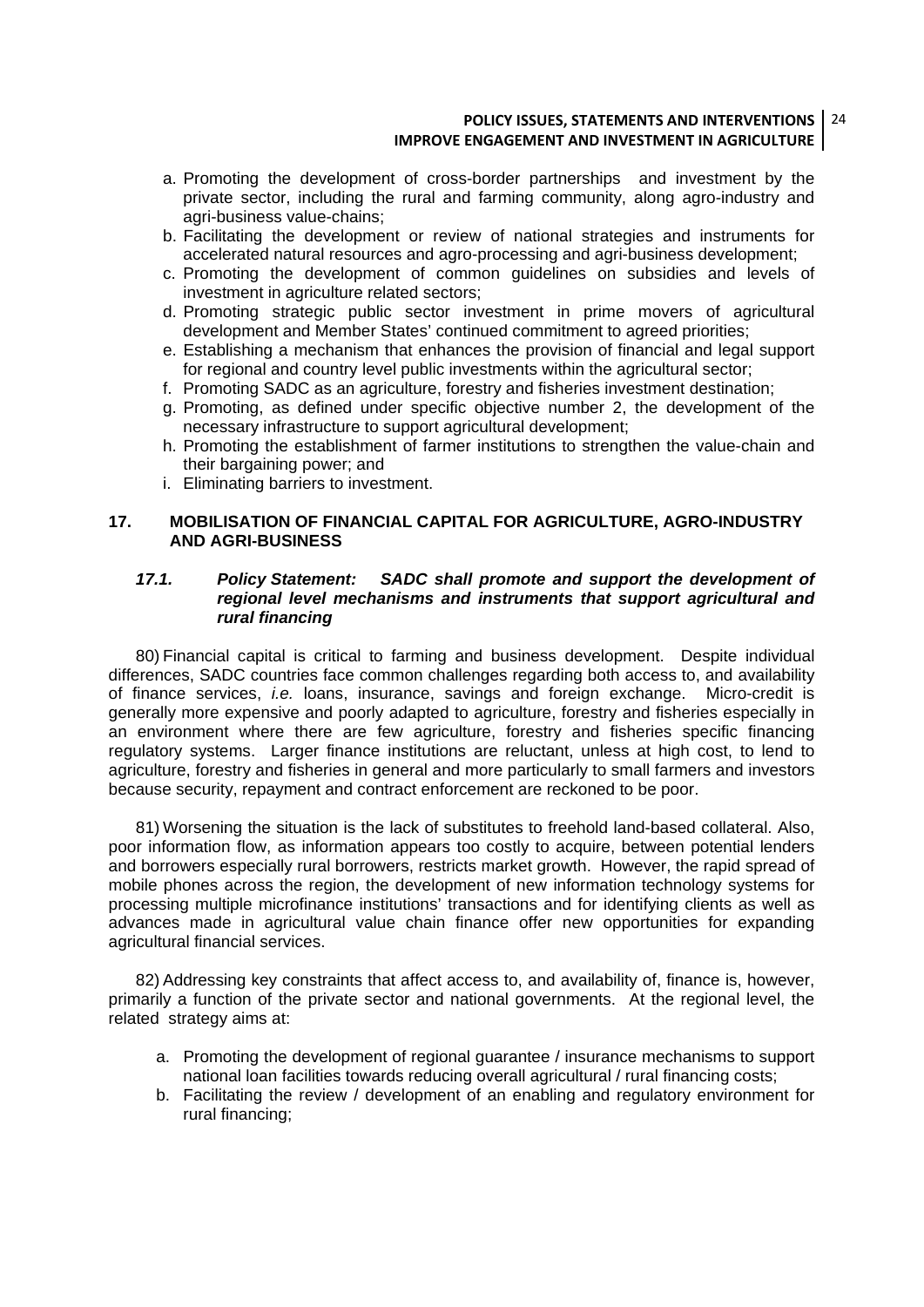#### **POLICY ISSUES, STATEMENTS AND INTERVENTIONS** 24 **IMPROVE ENGAGEMENT AND INVESTMENT IN AGRICULTURE**

- a. Promoting the development of cross-border partnerships and investment by the private sector, including the rural and farming community, along agro-industry and agri-business value-chains;
- b. Facilitating the development or review of national strategies and instruments for accelerated natural resources and agro-processing and agri-business development;
- c. Promoting the development of common guidelines on subsidies and levels of investment in agriculture related sectors;
- d. Promoting strategic public sector investment in prime movers of agricultural development and Member States' continued commitment to agreed priorities;
- e. Establishing a mechanism that enhances the provision of financial and legal support for regional and country level public investments within the agricultural sector;
- f. Promoting SADC as an agriculture, forestry and fisheries investment destination;
- g. Promoting, as defined under specific objective number 2, the development of the necessary infrastructure to support agricultural development;
- h. Promoting the establishment of farmer institutions to strengthen the value-chain and their bargaining power; and
- i. Eliminating barriers to investment.

#### **17. MOBILISATION OF FINANCIAL CAPITAL FOR AGRICULTURE, AGRO-INDUSTRY AND AGRI-BUSINESS**

#### *17.1. Policy Statement: SADC shall promote and support the development of regional level mechanisms and instruments that support agricultural and rural financing*

80) Financial capital is critical to farming and business development. Despite individual differences, SADC countries face common challenges regarding both access to, and availability of finance services, *i.e.* loans, insurance, savings and foreign exchange. Micro-credit is generally more expensive and poorly adapted to agriculture, forestry and fisheries especially in an environment where there are few agriculture, forestry and fisheries specific financing regulatory systems. Larger finance institutions are reluctant, unless at high cost, to lend to agriculture, forestry and fisheries in general and more particularly to small farmers and investors because security, repayment and contract enforcement are reckoned to be poor.

81) Worsening the situation is the lack of substitutes to freehold land-based collateral. Also, poor information flow, as information appears too costly to acquire, between potential lenders and borrowers especially rural borrowers, restricts market growth. However, the rapid spread of mobile phones across the region, the development of new information technology systems for processing multiple microfinance institutions' transactions and for identifying clients as well as advances made in agricultural value chain finance offer new opportunities for expanding agricultural financial services.

82) Addressing key constraints that affect access to, and availability of, finance is, however, primarily a function of the private sector and national governments. At the regional level, the related strategy aims at:

- a. Promoting the development of regional guarantee / insurance mechanisms to support national loan facilities towards reducing overall agricultural / rural financing costs;
- b. Facilitating the review / development of an enabling and regulatory environment for rural financing;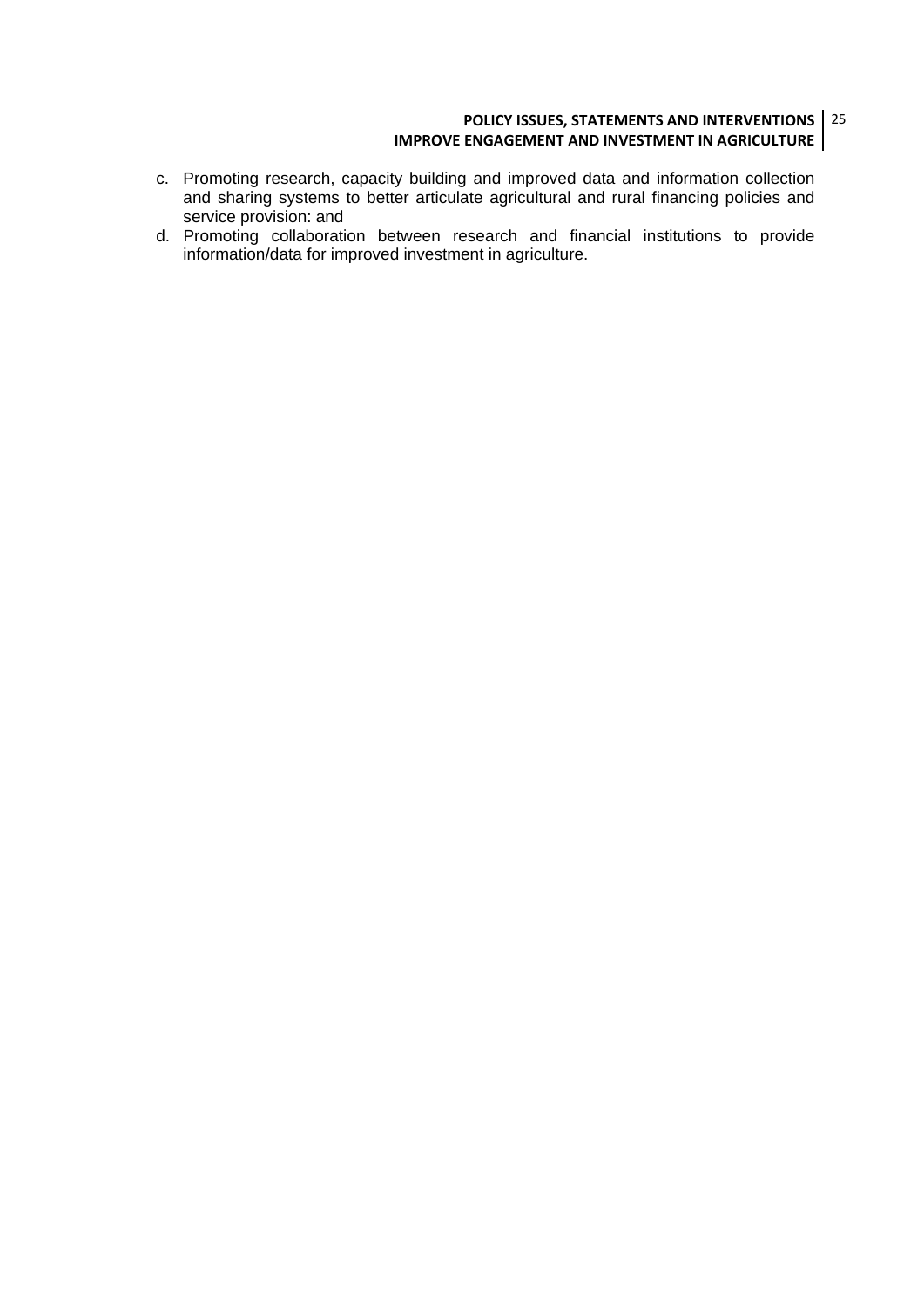#### **POLICY ISSUES, STATEMENTS AND INTERVENTIONS** 25 **IMPROVE ENGAGEMENT AND INVESTMENT IN AGRICULTURE**

- c. Promoting research, capacity building and improved data and information collection and sharing systems to better articulate agricultural and rural financing policies and service provision: and
- d. Promoting collaboration between research and financial institutions to provide information/data for improved investment in agriculture.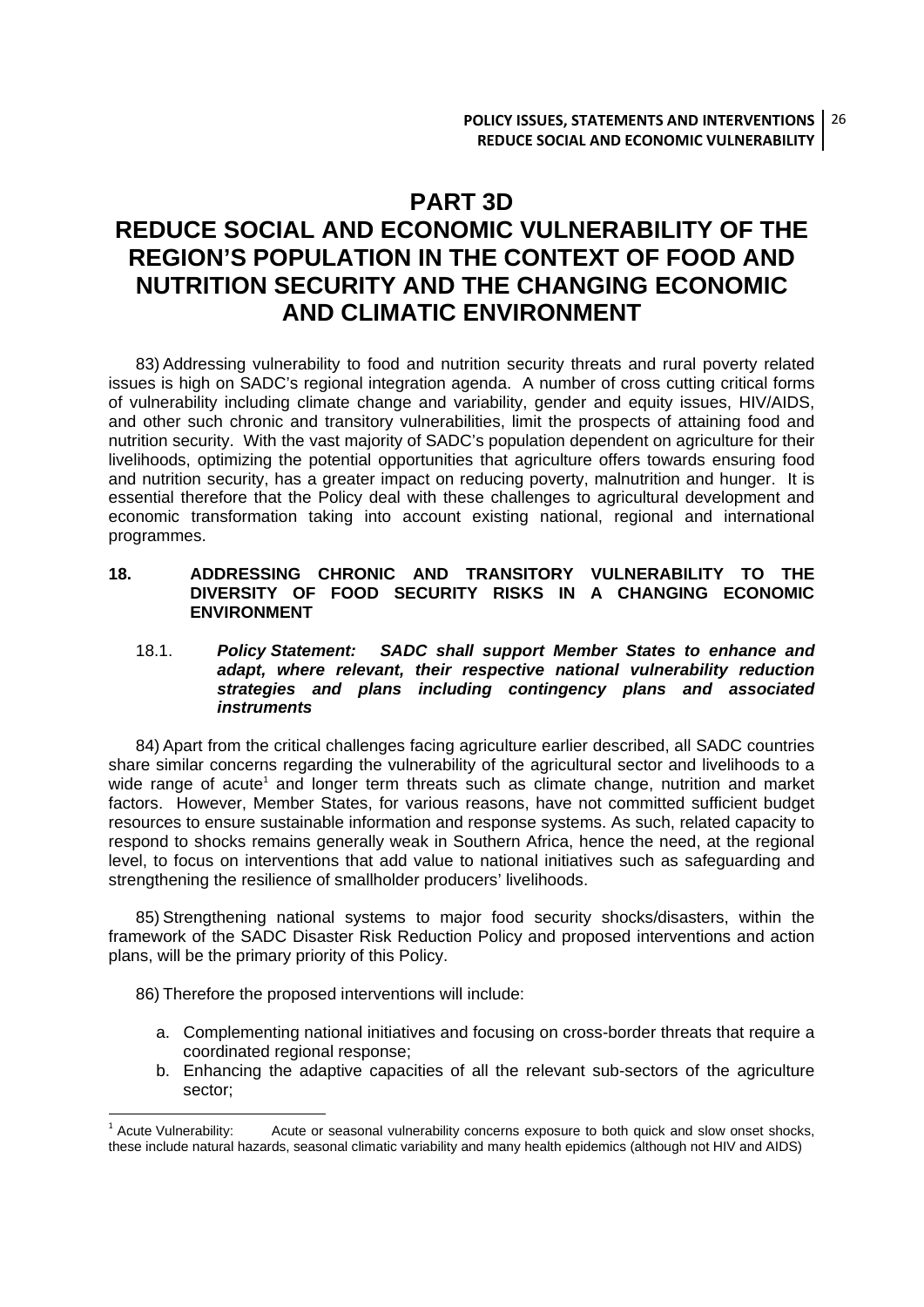### **PART 3D**

### **REDUCE SOCIAL AND ECONOMIC VULNERABILITY OF THE REGION'S POPULATION IN THE CONTEXT OF FOOD AND NUTRITION SECURITY AND THE CHANGING ECONOMIC AND CLIMATIC ENVIRONMENT**

83) Addressing vulnerability to food and nutrition security threats and rural poverty related issues is high on SADC's regional integration agenda. A number of cross cutting critical forms of vulnerability including climate change and variability, gender and equity issues, HIV/AIDS, and other such chronic and transitory vulnerabilities, limit the prospects of attaining food and nutrition security. With the vast majority of SADC's population dependent on agriculture for their livelihoods, optimizing the potential opportunities that agriculture offers towards ensuring food and nutrition security, has a greater impact on reducing poverty, malnutrition and hunger. It is essential therefore that the Policy deal with these challenges to agricultural development and economic transformation taking into account existing national, regional and international programmes.

#### **18. ADDRESSING CHRONIC AND TRANSITORY VULNERABILITY TO THE DIVERSITY OF FOOD SECURITY RISKS IN A CHANGING ECONOMIC ENVIRONMENT**

#### 18.1. *Policy Statement: SADC shall support Member States to enhance and adapt, where relevant, their respective national vulnerability reduction strategies and plans including contingency plans and associated instruments*

84) Apart from the critical challenges facing agriculture earlier described, all SADC countries share similar concerns regarding the vulnerability of the agricultural sector and livelihoods to a wide range of acute<sup>1</sup> and longer term threats such as climate change, nutrition and market factors. However, Member States, for various reasons, have not committed sufficient budget resources to ensure sustainable information and response systems. As such, related capacity to respond to shocks remains generally weak in Southern Africa, hence the need, at the regional level, to focus on interventions that add value to national initiatives such as safeguarding and strengthening the resilience of smallholder producers' livelihoods.

85) Strengthening national systems to major food security shocks/disasters, within the framework of the SADC Disaster Risk Reduction Policy and proposed interventions and action plans, will be the primary priority of this Policy.

86) Therefore the proposed interventions will include:

1

- a. Complementing national initiatives and focusing on cross-border threats that require a coordinated regional response;
- b. Enhancing the adaptive capacities of all the relevant sub-sectors of the agriculture sector;

<sup>&</sup>lt;sup>1</sup> Acute Vulnerability: Acute or seasonal vulnerability concerns exposure to both quick and slow onset shocks, these include natural hazards, seasonal climatic variability and many health epidemics (although not HIV and AIDS)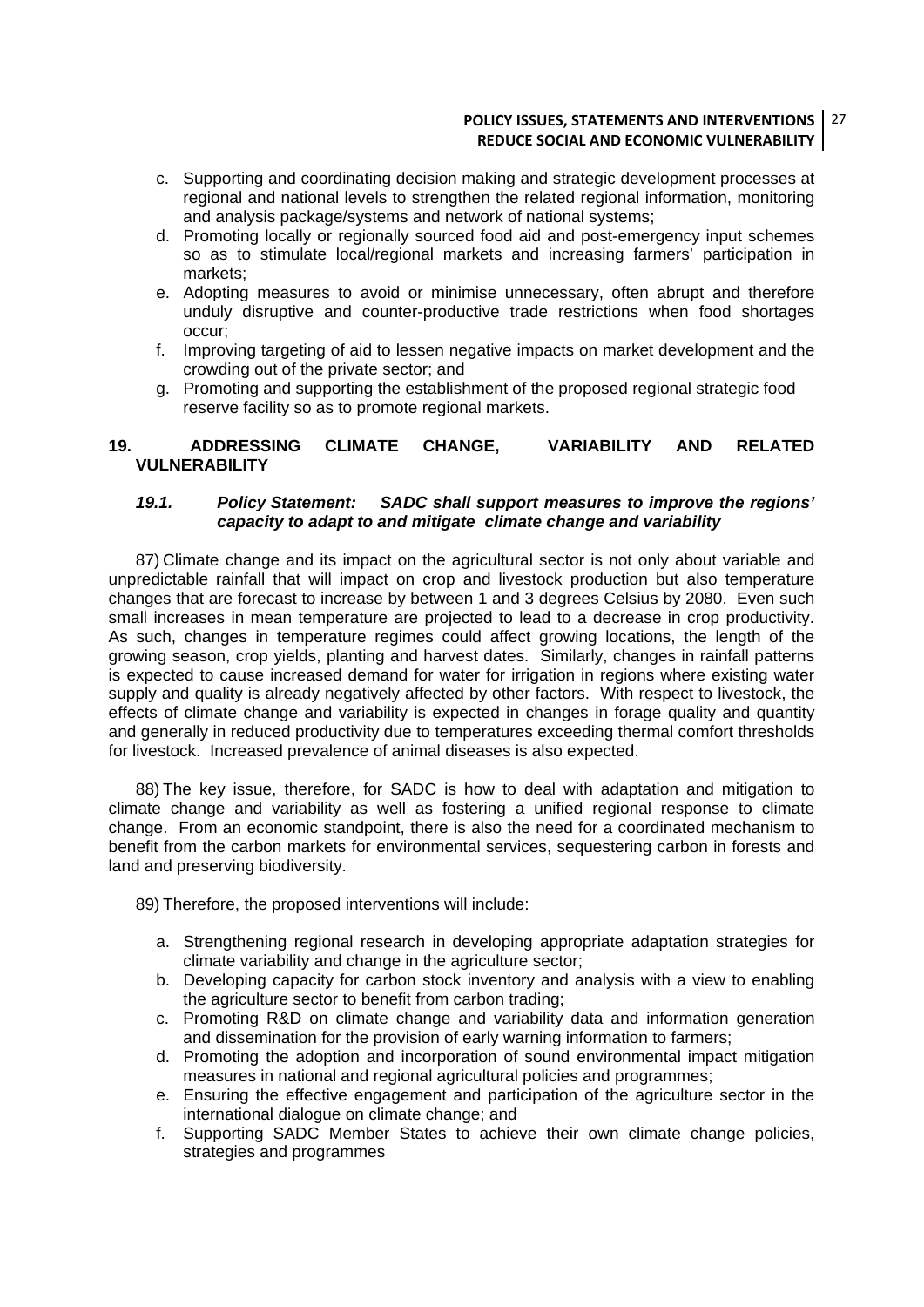#### **POLICY ISSUES, STATEMENTS AND INTERVENTIONS** 27 **REDUCE SOCIAL AND ECONOMIC VULNERABILITY**

- c. Supporting and coordinating decision making and strategic development processes at regional and national levels to strengthen the related regional information, monitoring and analysis package/systems and network of national systems;
- d. Promoting locally or regionally sourced food aid and post-emergency input schemes so as to stimulate local/regional markets and increasing farmers' participation in markets;
- e. Adopting measures to avoid or minimise unnecessary, often abrupt and therefore unduly disruptive and counter-productive trade restrictions when food shortages occur;
- f. Improving targeting of aid to lessen negative impacts on market development and the crowding out of the private sector; and
- g. Promoting and supporting the establishment of the proposed regional strategic food reserve facility so as to promote regional markets.

#### **19. ADDRESSING CLIMATE CHANGE, VARIABILITY AND RELATED VULNERABILITY**

#### *19.1. Policy Statement: SADC shall support measures to improve the regions' capacity to adapt to and mitigate climate change and variability*

87) Climate change and its impact on the agricultural sector is not only about variable and unpredictable rainfall that will impact on crop and livestock production but also temperature changes that are forecast to increase by between 1 and 3 degrees Celsius by 2080. Even such small increases in mean temperature are projected to lead to a decrease in crop productivity. As such, changes in temperature regimes could affect growing locations, the length of the growing season, crop yields, planting and harvest dates. Similarly, changes in rainfall patterns is expected to cause increased demand for water for irrigation in regions where existing water supply and quality is already negatively affected by other factors. With respect to livestock, the effects of climate change and variability is expected in changes in forage quality and quantity and generally in reduced productivity due to temperatures exceeding thermal comfort thresholds for livestock. Increased prevalence of animal diseases is also expected.

88) The key issue, therefore, for SADC is how to deal with adaptation and mitigation to climate change and variability as well as fostering a unified regional response to climate change. From an economic standpoint, there is also the need for a coordinated mechanism to benefit from the carbon markets for environmental services, sequestering carbon in forests and land and preserving biodiversity.

89) Therefore, the proposed interventions will include:

- a. Strengthening regional research in developing appropriate adaptation strategies for climate variability and change in the agriculture sector;
- b. Developing capacity for carbon stock inventory and analysis with a view to enabling the agriculture sector to benefit from carbon trading;
- c. Promoting R&D on climate change and variability data and information generation and dissemination for the provision of early warning information to farmers;
- d. Promoting the adoption and incorporation of sound environmental impact mitigation measures in national and regional agricultural policies and programmes;
- e. Ensuring the effective engagement and participation of the agriculture sector in the international dialogue on climate change; and
- f. Supporting SADC Member States to achieve their own climate change policies, strategies and programmes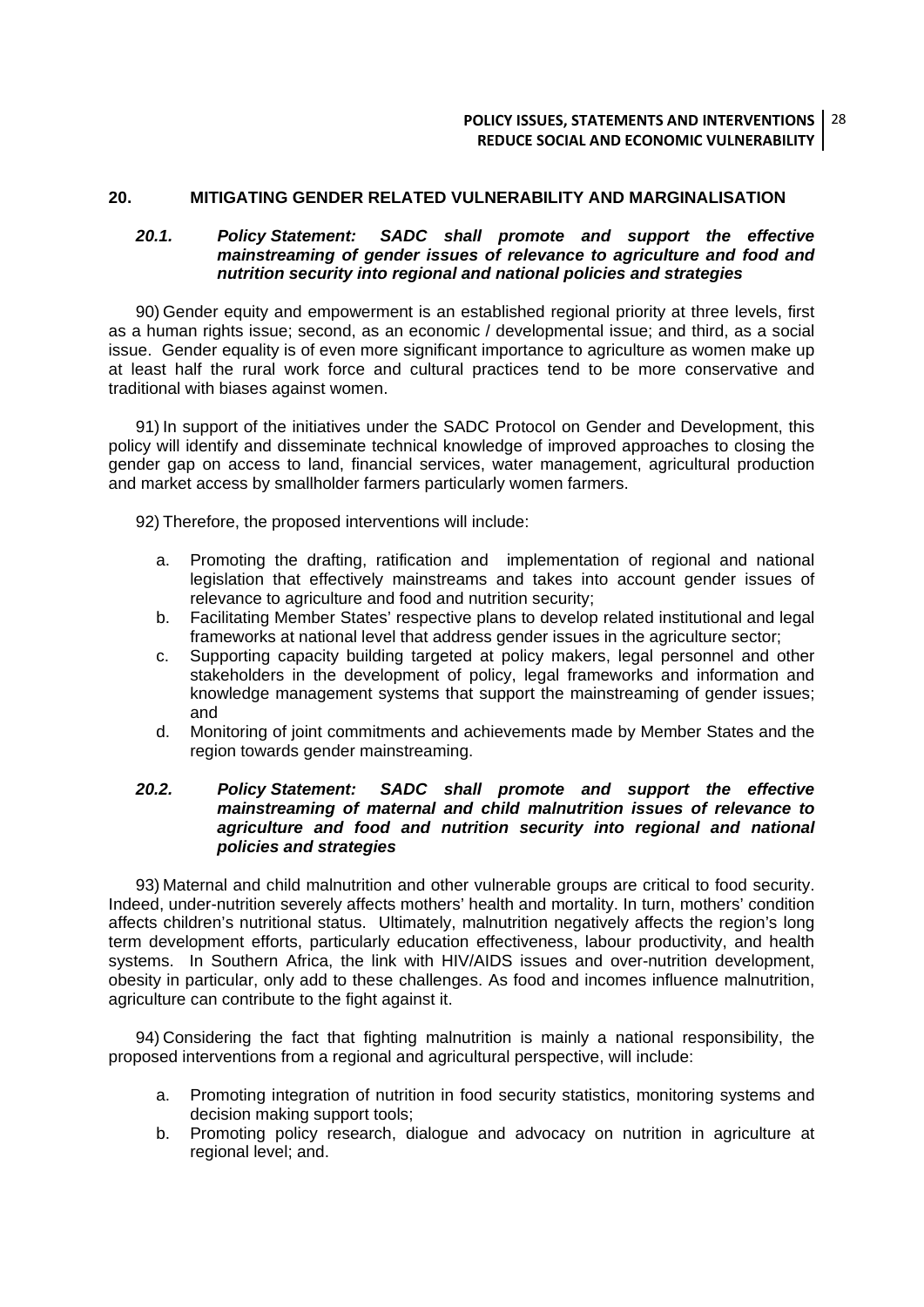#### **20. MITIGATING GENDER RELATED VULNERABILITY AND MARGINALISATION**

#### *20.1. Policy Statement: SADC shall promote and support the effective mainstreaming of gender issues of relevance to agriculture and food and nutrition security into regional and national policies and strategies*

90) Gender equity and empowerment is an established regional priority at three levels, first as a human rights issue; second, as an economic / developmental issue; and third, as a social issue. Gender equality is of even more significant importance to agriculture as women make up at least half the rural work force and cultural practices tend to be more conservative and traditional with biases against women.

91) In support of the initiatives under the SADC Protocol on Gender and Development, this policy will identify and disseminate technical knowledge of improved approaches to closing the gender gap on access to land, financial services, water management, agricultural production and market access by smallholder farmers particularly women farmers.

92) Therefore, the proposed interventions will include:

- a. Promoting the drafting, ratification and implementation of regional and national legislation that effectively mainstreams and takes into account gender issues of relevance to agriculture and food and nutrition security;
- b. Facilitating Member States' respective plans to develop related institutional and legal frameworks at national level that address gender issues in the agriculture sector;
- c. Supporting capacity building targeted at policy makers, legal personnel and other stakeholders in the development of policy, legal frameworks and information and knowledge management systems that support the mainstreaming of gender issues; and
- d. Monitoring of joint commitments and achievements made by Member States and the region towards gender mainstreaming.

#### *20.2. Policy Statement: SADC shall promote and support the effective mainstreaming of maternal and child malnutrition issues of relevance to agriculture and food and nutrition security into regional and national policies and strategies*

93) Maternal and child malnutrition and other vulnerable groups are critical to food security. Indeed, under-nutrition severely affects mothers' health and mortality. In turn, mothers' condition affects children's nutritional status. Ultimately, malnutrition negatively affects the region's long term development efforts, particularly education effectiveness, labour productivity, and health systems. In Southern Africa, the link with HIV/AIDS issues and over-nutrition development, obesity in particular, only add to these challenges. As food and incomes influence malnutrition, agriculture can contribute to the fight against it.

94) Considering the fact that fighting malnutrition is mainly a national responsibility, the proposed interventions from a regional and agricultural perspective, will include:

- a. Promoting integration of nutrition in food security statistics, monitoring systems and decision making support tools;
- b. Promoting policy research, dialogue and advocacy on nutrition in agriculture at regional level; and.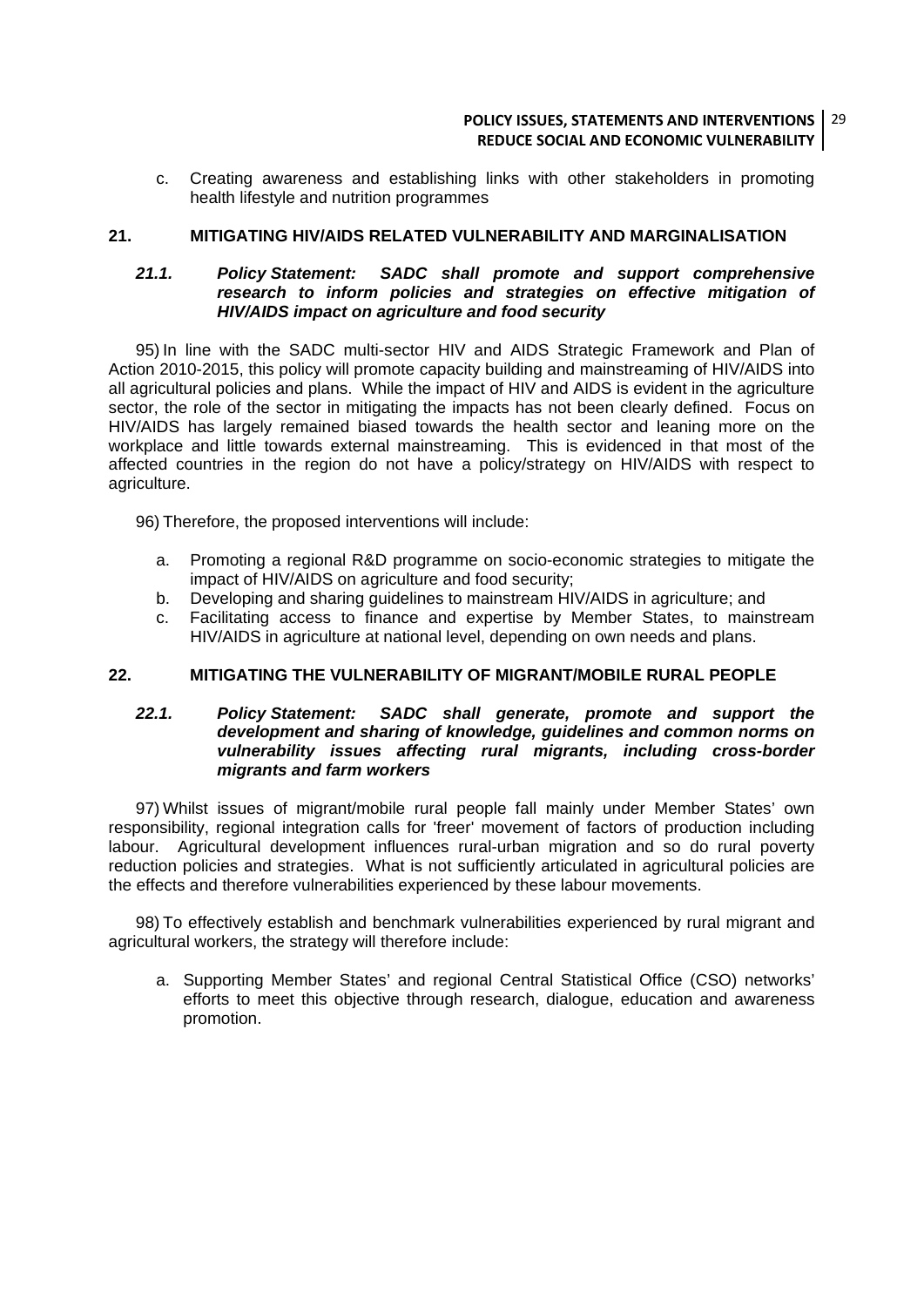#### **POLICY ISSUES, STATEMENTS AND INTERVENTIONS** 29 **REDUCE SOCIAL AND ECONOMIC VULNERABILITY**

c. Creating awareness and establishing links with other stakeholders in promoting health lifestyle and nutrition programmes

#### **21. MITIGATING HIV/AIDS RELATED VULNERABILITY AND MARGINALISATION**

#### *21.1. Policy Statement: SADC shall promote and support comprehensive research to inform policies and strategies on effective mitigation of HIV/AIDS impact on agriculture and food security*

95) In line with the SADC multi-sector HIV and AIDS Strategic Framework and Plan of Action 2010-2015, this policy will promote capacity building and mainstreaming of HIV/AIDS into all agricultural policies and plans. While the impact of HIV and AIDS is evident in the agriculture sector, the role of the sector in mitigating the impacts has not been clearly defined. Focus on HIV/AIDS has largely remained biased towards the health sector and leaning more on the workplace and little towards external mainstreaming. This is evidenced in that most of the affected countries in the region do not have a policy/strategy on HIV/AIDS with respect to agriculture.

96) Therefore, the proposed interventions will include:

- a. Promoting a regional R&D programme on socio-economic strategies to mitigate the impact of HIV/AIDS on agriculture and food security;
- b. Developing and sharing guidelines to mainstream HIV/AIDS in agriculture; and
- c. Facilitating access to finance and expertise by Member States, to mainstream HIV/AIDS in agriculture at national level, depending on own needs and plans.

#### **22. MITIGATING THE VULNERABILITY OF MIGRANT/MOBILE RURAL PEOPLE**

#### *22.1. Policy Statement: SADC shall generate, promote and support the development and sharing of knowledge, guidelines and common norms on vulnerability issues affecting rural migrants, including cross-border migrants and farm workers*

97) Whilst issues of migrant/mobile rural people fall mainly under Member States' own responsibility, regional integration calls for 'freer' movement of factors of production including labour. Agricultural development influences rural-urban migration and so do rural poverty reduction policies and strategies. What is not sufficiently articulated in agricultural policies are the effects and therefore vulnerabilities experienced by these labour movements.

98) To effectively establish and benchmark vulnerabilities experienced by rural migrant and agricultural workers, the strategy will therefore include:

a. Supporting Member States' and regional Central Statistical Office (CSO) networks' efforts to meet this objective through research, dialogue, education and awareness promotion.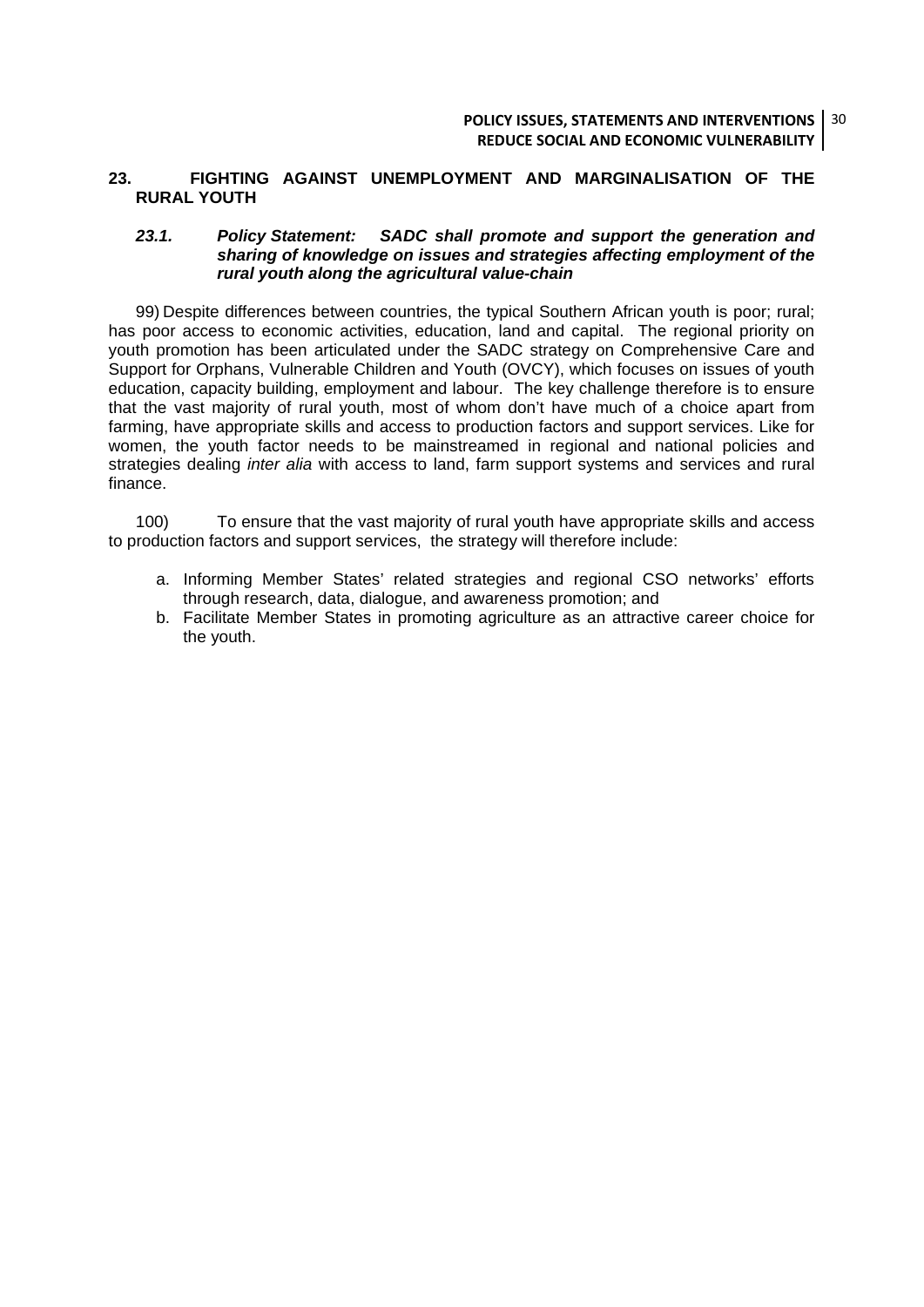#### **23. FIGHTING AGAINST UNEMPLOYMENT AND MARGINALISATION OF THE RURAL YOUTH**

#### *23.1. Policy Statement: SADC shall promote and support the generation and sharing of knowledge on issues and strategies affecting employment of the rural youth along the agricultural value-chain*

99) Despite differences between countries, the typical Southern African youth is poor; rural; has poor access to economic activities, education, land and capital. The regional priority on youth promotion has been articulated under the SADC strategy on Comprehensive Care and Support for Orphans, Vulnerable Children and Youth (OVCY), which focuses on issues of youth education, capacity building, employment and labour. The key challenge therefore is to ensure that the vast majority of rural youth, most of whom don't have much of a choice apart from farming, have appropriate skills and access to production factors and support services. Like for women, the youth factor needs to be mainstreamed in regional and national policies and strategies dealing *inter alia* with access to land, farm support systems and services and rural finance.

100) To ensure that the vast majority of rural youth have appropriate skills and access to production factors and support services, the strategy will therefore include:

- a. Informing Member States' related strategies and regional CSO networks' efforts through research, data, dialogue, and awareness promotion; and
- b. Facilitate Member States in promoting agriculture as an attractive career choice for the youth.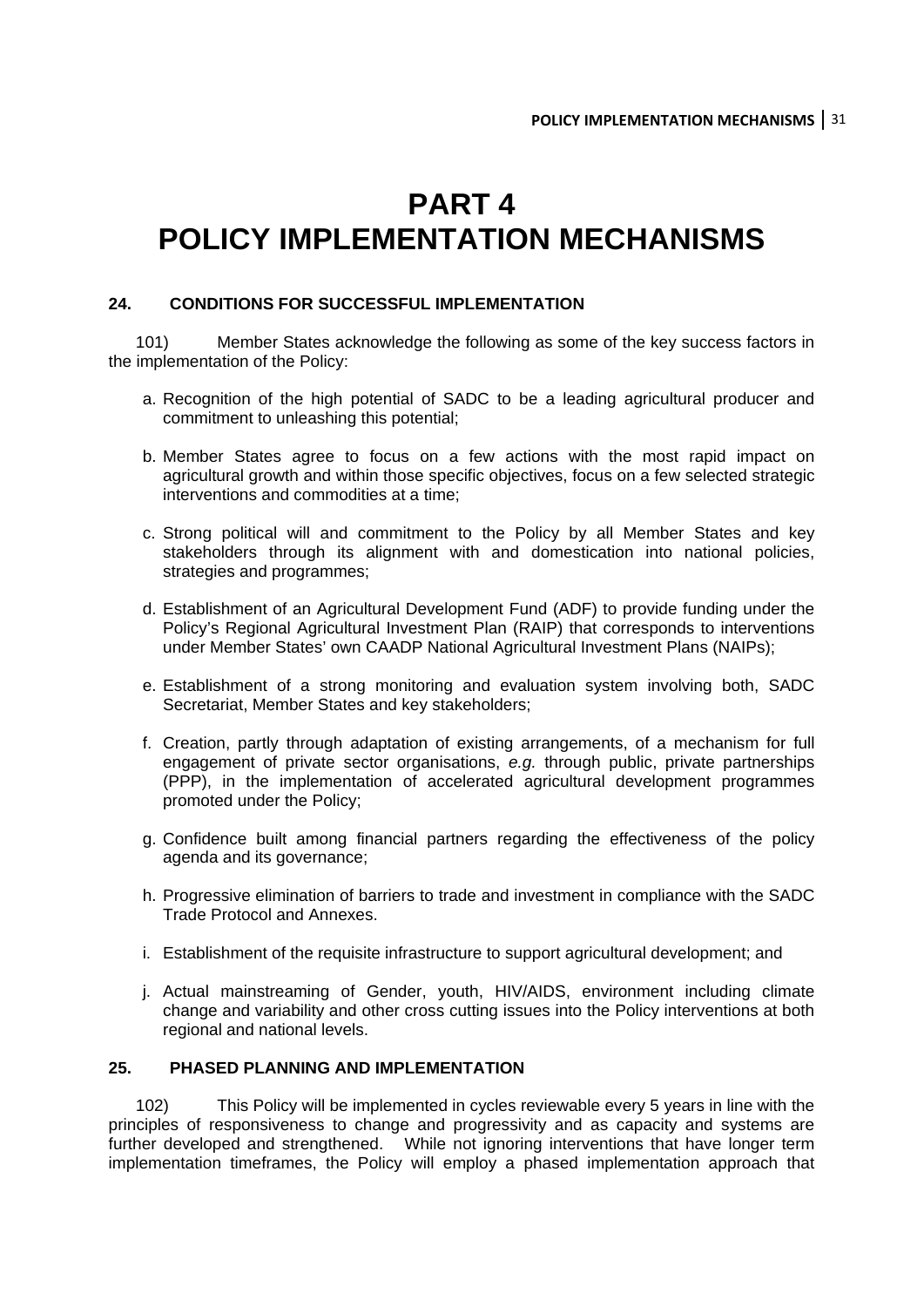## **PART 4 POLICY IMPLEMENTATION MECHANISMS**

#### **24. CONDITIONS FOR SUCCESSFUL IMPLEMENTATION**

101) Member States acknowledge the following as some of the key success factors in the implementation of the Policy:

- a. Recognition of the high potential of SADC to be a leading agricultural producer and commitment to unleashing this potential;
- b. Member States agree to focus on a few actions with the most rapid impact on agricultural growth and within those specific objectives, focus on a few selected strategic interventions and commodities at a time;
- c. Strong political will and commitment to the Policy by all Member States and key stakeholders through its alignment with and domestication into national policies, strategies and programmes;
- d. Establishment of an Agricultural Development Fund (ADF) to provide funding under the Policy's Regional Agricultural Investment Plan (RAIP) that corresponds to interventions under Member States' own CAADP National Agricultural Investment Plans (NAIPs);
- e. Establishment of a strong monitoring and evaluation system involving both, SADC Secretariat, Member States and key stakeholders;
- f. Creation, partly through adaptation of existing arrangements, of a mechanism for full engagement of private sector organisations, *e.g.* through public, private partnerships (PPP), in the implementation of accelerated agricultural development programmes promoted under the Policy;
- g. Confidence built among financial partners regarding the effectiveness of the policy agenda and its governance;
- h. Progressive elimination of barriers to trade and investment in compliance with the SADC Trade Protocol and Annexes.
- i. Establishment of the requisite infrastructure to support agricultural development; and
- j. Actual mainstreaming of Gender, youth, HIV/AIDS, environment including climate change and variability and other cross cutting issues into the Policy interventions at both regional and national levels.

#### **25. PHASED PLANNING AND IMPLEMENTATION**

102) This Policy will be implemented in cycles reviewable every 5 years in line with the principles of responsiveness to change and progressivity and as capacity and systems are further developed and strengthened. While not ignoring interventions that have longer term implementation timeframes, the Policy will employ a phased implementation approach that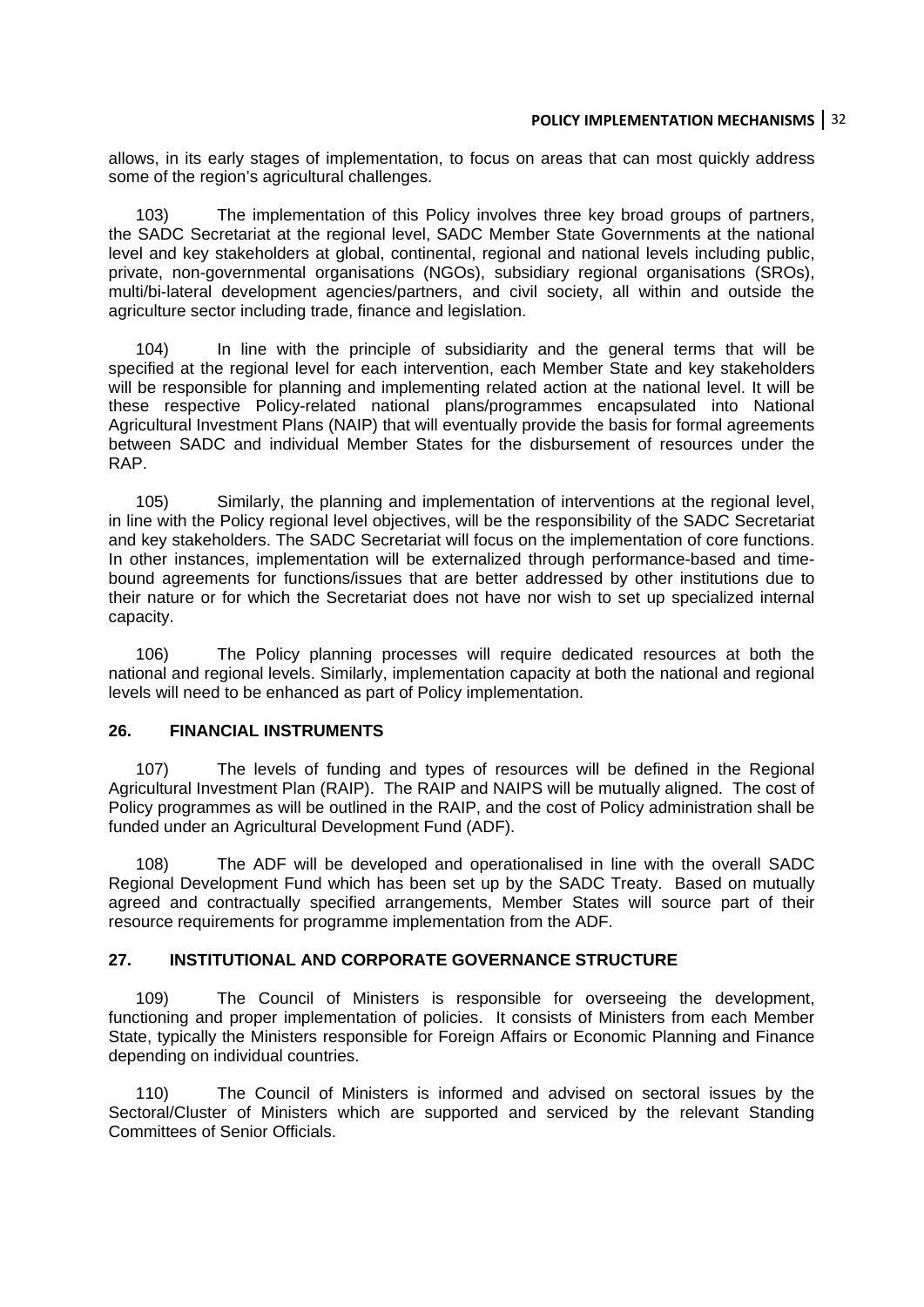#### **POLICY IMPLEMENTATION MECHANISMS** 32

allows, in its early stages of implementation, to focus on areas that can most quickly address some of the region's agricultural challenges.

103) The implementation of this Policy involves three key broad groups of partners, the SADC Secretariat at the regional level, SADC Member State Governments at the national level and key stakeholders at global, continental, regional and national levels including public, private, non-governmental organisations (NGOs), subsidiary regional organisations (SROs), multi/bi-lateral development agencies/partners, and civil society, all within and outside the agriculture sector including trade, finance and legislation.

104) In line with the principle of subsidiarity and the general terms that will be specified at the regional level for each intervention, each Member State and key stakeholders will be responsible for planning and implementing related action at the national level. It will be these respective Policy-related national plans/programmes encapsulated into National Agricultural Investment Plans (NAIP) that will eventually provide the basis for formal agreements between SADC and individual Member States for the disbursement of resources under the RAP.

105) Similarly, the planning and implementation of interventions at the regional level, in line with the Policy regional level objectives, will be the responsibility of the SADC Secretariat and key stakeholders. The SADC Secretariat will focus on the implementation of core functions. In other instances, implementation will be externalized through performance-based and timebound agreements for functions/issues that are better addressed by other institutions due to their nature or for which the Secretariat does not have nor wish to set up specialized internal capacity.

106) The Policy planning processes will require dedicated resources at both the national and regional levels. Similarly, implementation capacity at both the national and regional levels will need to be enhanced as part of Policy implementation.

#### **26. FINANCIAL INSTRUMENTS**

107) The levels of funding and types of resources will be defined in the Regional Agricultural Investment Plan (RAIP). The RAIP and NAIPS will be mutually aligned. The cost of Policy programmes as will be outlined in the RAIP, and the cost of Policy administration shall be funded under an Agricultural Development Fund (ADF).

108) The ADF will be developed and operationalised in line with the overall SADC Regional Development Fund which has been set up by the SADC Treaty. Based on mutually agreed and contractually specified arrangements, Member States will source part of their resource requirements for programme implementation from the ADF.

#### **27. INSTITUTIONAL AND CORPORATE GOVERNANCE STRUCTURE**

109) The Council of Ministers is responsible for overseeing the development, functioning and proper implementation of policies. It consists of Ministers from each Member State, typically the Ministers responsible for Foreign Affairs or Economic Planning and Finance depending on individual countries.

110) The Council of Ministers is informed and advised on sectoral issues by the Sectoral/Cluster of Ministers which are supported and serviced by the relevant Standing Committees of Senior Officials.